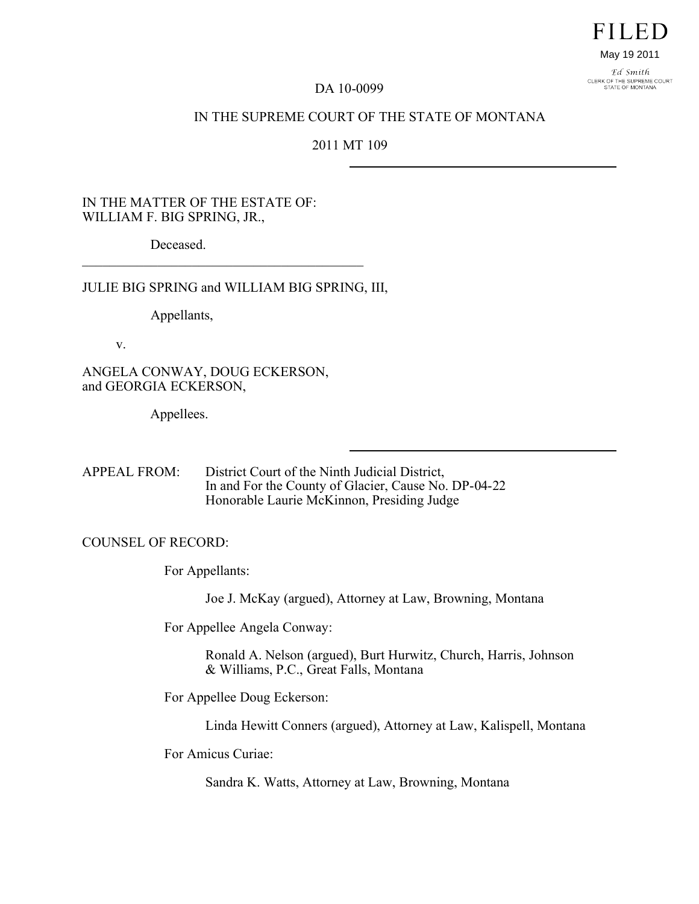# FILED

May 19 2011

Ed Smith CLERK OF THE SUPREME COURT<br>STATE OF MONTANA

#### DA 10-0099

#### IN THE SUPREME COURT OF THE STATE OF MONTANA

# 2011 MT 109

#### IN THE MATTER OF THE ESTATE OF: WILLIAM F. BIG SPRING, JR.,

Deceased.

JULIE BIG SPRING and WILLIAM BIG SPRING, III,

 $\mathcal{L}_\text{max}$ 

Appellants,

v.

ANGELA CONWAY, DOUG ECKERSON, and GEORGIA ECKERSON,

Appellees.

APPEAL FROM: District Court of the Ninth Judicial District, In and For the County of Glacier, Cause No. DP-04-22 Honorable Laurie McKinnon, Presiding Judge

#### COUNSEL OF RECORD:

For Appellants:

Joe J. McKay (argued), Attorney at Law, Browning, Montana

For Appellee Angela Conway:

Ronald A. Nelson (argued), Burt Hurwitz, Church, Harris, Johnson & Williams, P.C., Great Falls, Montana

For Appellee Doug Eckerson:

Linda Hewitt Conners (argued), Attorney at Law, Kalispell, Montana

For Amicus Curiae:

Sandra K. Watts, Attorney at Law, Browning, Montana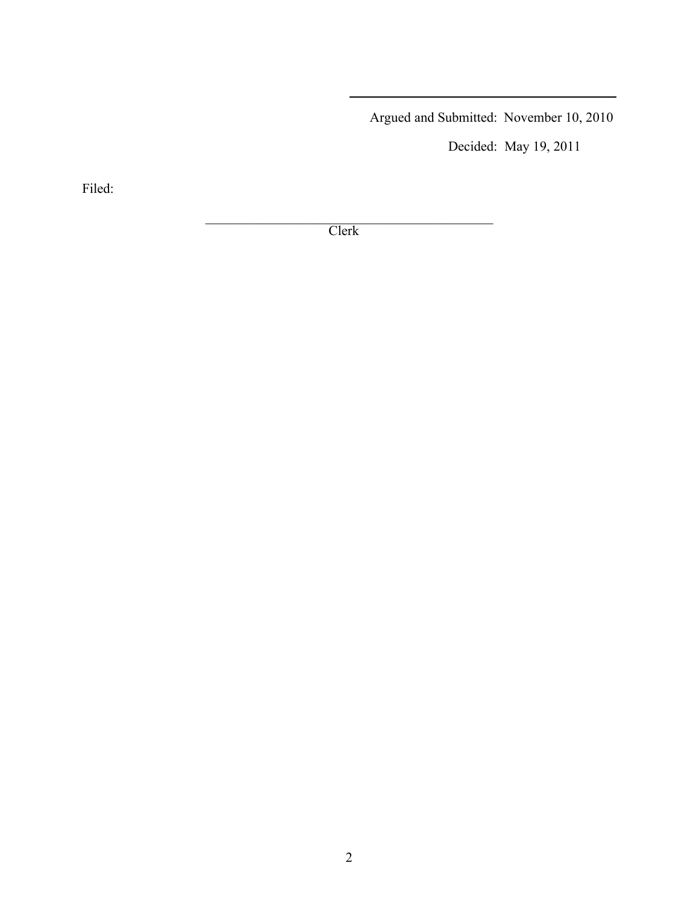Argued and Submitted: November 10, 2010

Decided: May 19, 2011

Filed:

 $\mathcal{L}_\text{max}$  , where  $\mathcal{L}_\text{max}$  and  $\mathcal{L}_\text{max}$  and  $\mathcal{L}_\text{max}$  and  $\mathcal{L}_\text{max}$ Clerk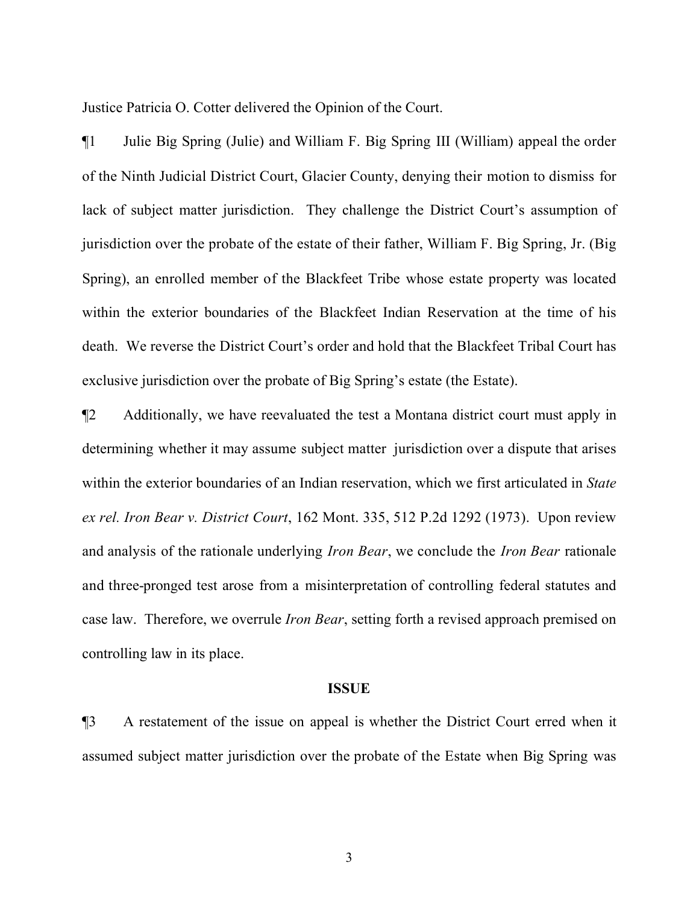Justice Patricia O. Cotter delivered the Opinion of the Court.

¶1 Julie Big Spring (Julie) and William F. Big Spring III (William) appeal the order of the Ninth Judicial District Court, Glacier County, denying their motion to dismiss for lack of subject matter jurisdiction. They challenge the District Court's assumption of jurisdiction over the probate of the estate of their father, William F. Big Spring, Jr. (Big Spring), an enrolled member of the Blackfeet Tribe whose estate property was located within the exterior boundaries of the Blackfeet Indian Reservation at the time of his death. We reverse the District Court's order and hold that the Blackfeet Tribal Court has exclusive jurisdiction over the probate of Big Spring's estate (the Estate).

¶2 Additionally, we have reevaluated the test a Montana district court must apply in determining whether it may assume subject matter jurisdiction over a dispute that arises within the exterior boundaries of an Indian reservation, which we first articulated in *State ex rel. Iron Bear v. District Court*, 162 Mont. 335, 512 P.2d 1292 (1973). Upon review and analysis of the rationale underlying *Iron Bear*, we conclude the *Iron Bear* rationale and three-pronged test arose from a misinterpretation of controlling federal statutes and case law. Therefore, we overrule *Iron Bear*, setting forth a revised approach premised on controlling law in its place.

#### **ISSUE**

¶3 A restatement of the issue on appeal is whether the District Court erred when it assumed subject matter jurisdiction over the probate of the Estate when Big Spring was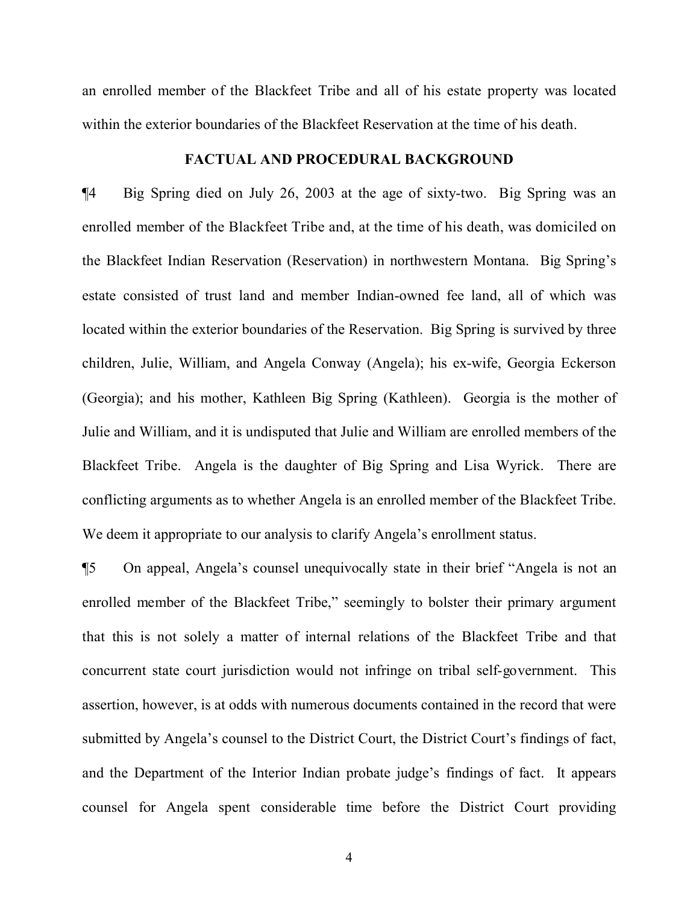an enrolled member of the Blackfeet Tribe and all of his estate property was located within the exterior boundaries of the Blackfeet Reservation at the time of his death.

# **FACTUAL AND PROCEDURAL BACKGROUND**

¶4 Big Spring died on July 26, 2003 at the age of sixty-two. Big Spring was an enrolled member of the Blackfeet Tribe and, at the time of his death, was domiciled on the Blackfeet Indian Reservation (Reservation) in northwestern Montana. Big Spring's estate consisted of trust land and member Indian-owned fee land, all of which was located within the exterior boundaries of the Reservation. Big Spring is survived by three children, Julie, William, and Angela Conway (Angela); his ex-wife, Georgia Eckerson (Georgia); and his mother, Kathleen Big Spring (Kathleen). Georgia is the mother of Julie and William, and it is undisputed that Julie and William are enrolled members of the Blackfeet Tribe. Angela is the daughter of Big Spring and Lisa Wyrick. There are conflicting arguments as to whether Angela is an enrolled member of the Blackfeet Tribe. We deem it appropriate to our analysis to clarify Angela's enrollment status.

¶5 On appeal, Angela's counsel unequivocally state in their brief "Angela is not an enrolled member of the Blackfeet Tribe," seemingly to bolster their primary argument that this is not solely a matter of internal relations of the Blackfeet Tribe and that concurrent state court jurisdiction would not infringe on tribal self-government. This assertion, however, is at odds with numerous documents contained in the record that were submitted by Angela's counsel to the District Court, the District Court's findings of fact, and the Department of the Interior Indian probate judge's findings of fact. It appears counsel for Angela spent considerable time before the District Court providing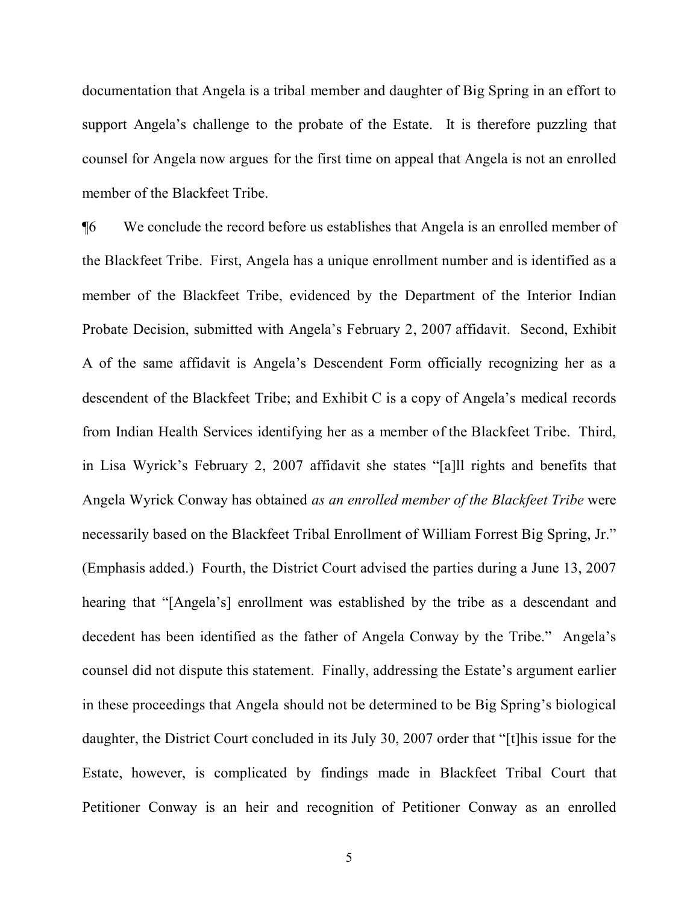documentation that Angela is a tribal member and daughter of Big Spring in an effort to support Angela's challenge to the probate of the Estate. It is therefore puzzling that counsel for Angela now argues for the first time on appeal that Angela is not an enrolled member of the Blackfeet Tribe.

¶6 We conclude the record before us establishes that Angela is an enrolled member of the Blackfeet Tribe. First, Angela has a unique enrollment number and is identified as a member of the Blackfeet Tribe, evidenced by the Department of the Interior Indian Probate Decision, submitted with Angela's February 2, 2007 affidavit. Second, Exhibit A of the same affidavit is Angela's Descendent Form officially recognizing her as a descendent of the Blackfeet Tribe; and Exhibit C is a copy of Angela's medical records from Indian Health Services identifying her as a member of the Blackfeet Tribe. Third, in Lisa Wyrick's February 2, 2007 affidavit she states "[a]ll rights and benefits that Angela Wyrick Conway has obtained *as an enrolled member of the Blackfeet Tribe* were necessarily based on the Blackfeet Tribal Enrollment of William Forrest Big Spring, Jr." (Emphasis added.) Fourth, the District Court advised the parties during a June 13, 2007 hearing that "[Angela's] enrollment was established by the tribe as a descendant and decedent has been identified as the father of Angela Conway by the Tribe." Angela's counsel did not dispute this statement. Finally, addressing the Estate's argument earlier in these proceedings that Angela should not be determined to be Big Spring's biological daughter, the District Court concluded in its July 30, 2007 order that "[t]his issue for the Estate, however, is complicated by findings made in Blackfeet Tribal Court that Petitioner Conway is an heir and recognition of Petitioner Conway as an enrolled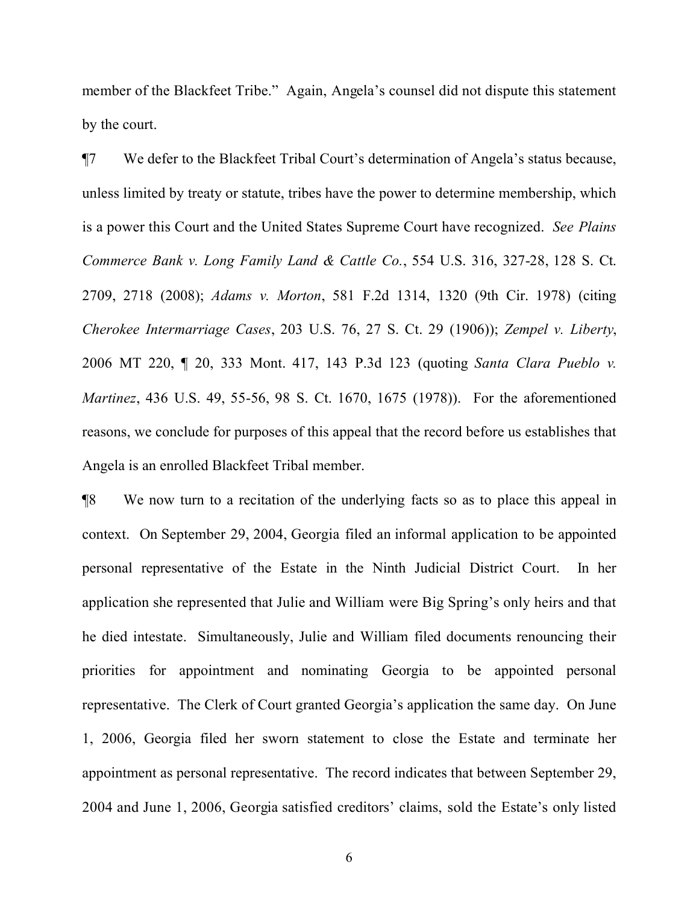member of the Blackfeet Tribe." Again, Angela's counsel did not dispute this statement by the court.

¶7 We defer to the Blackfeet Tribal Court's determination of Angela's status because, unless limited by treaty or statute, tribes have the power to determine membership, which is a power this Court and the United States Supreme Court have recognized. *See Plains Commerce Bank v. Long Family Land & Cattle Co.*, 554 U.S. 316, 327-28, 128 S. Ct. 2709, 2718 (2008); *Adams v. Morton*, 581 F.2d 1314, 1320 (9th Cir. 1978) (citing *Cherokee Intermarriage Cases*, 203 U.S. 76, 27 S. Ct. 29 (1906)); *Zempel v. Liberty*, 2006 MT 220, ¶ 20, 333 Mont. 417, 143 P.3d 123 (quoting *Santa Clara Pueblo v. Martinez*, 436 U.S. 49, 55-56, 98 S. Ct. 1670, 1675 (1978)).For the aforementioned reasons, we conclude for purposes of this appeal that the record before us establishes that Angela is an enrolled Blackfeet Tribal member.

¶8 We now turn to a recitation of the underlying facts so as to place this appeal in context. On September 29, 2004, Georgia filed an informal application to be appointed personal representative of the Estate in the Ninth Judicial District Court. In her application she represented that Julie and William were Big Spring's only heirs and that he died intestate. Simultaneously, Julie and William filed documents renouncing their priorities for appointment and nominating Georgia to be appointed personal representative. The Clerk of Court granted Georgia's application the same day. On June 1, 2006, Georgia filed her sworn statement to close the Estate and terminate her appointment as personal representative. The record indicates that between September 29, 2004 and June 1, 2006, Georgia satisfied creditors' claims, sold the Estate's only listed

6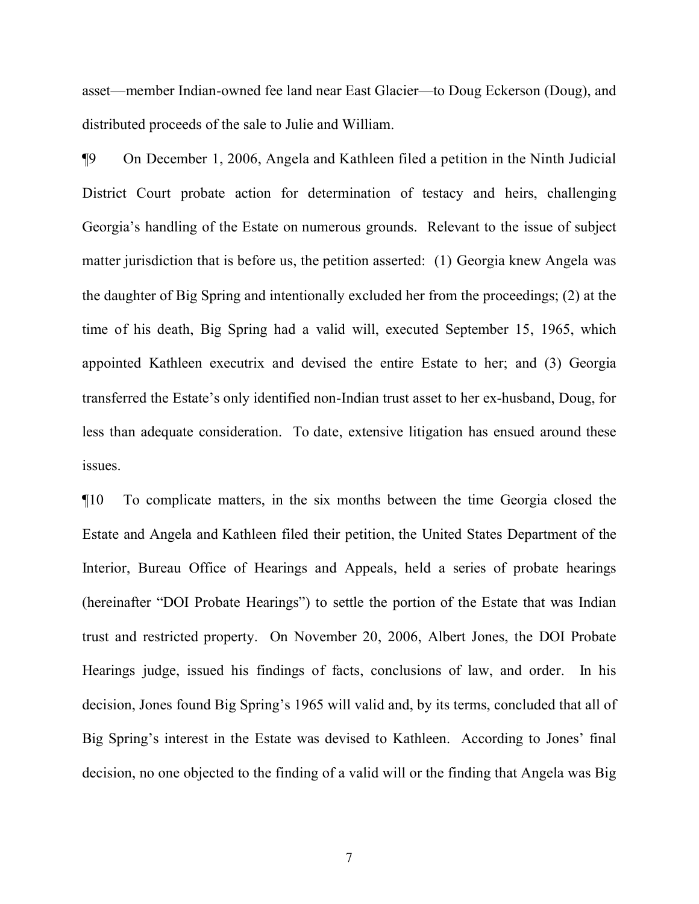asset—member Indian-owned fee land near East Glacier—to Doug Eckerson (Doug), and distributed proceeds of the sale to Julie and William.

¶9 On December 1, 2006, Angela and Kathleen filed a petition in the Ninth Judicial District Court probate action for determination of testacy and heirs, challenging Georgia's handling of the Estate on numerous grounds. Relevant to the issue of subject matter jurisdiction that is before us, the petition asserted: (1) Georgia knew Angela was the daughter of Big Spring and intentionally excluded her from the proceedings; (2) at the time of his death, Big Spring had a valid will, executed September 15, 1965, which appointed Kathleen executrix and devised the entire Estate to her; and (3) Georgia transferred the Estate's only identified non-Indian trust asset to her ex-husband, Doug, for less than adequate consideration. To date, extensive litigation has ensued around these issues.

¶10 To complicate matters, in the six months between the time Georgia closed the Estate and Angela and Kathleen filed their petition, the United States Department of the Interior, Bureau Office of Hearings and Appeals, held a series of probate hearings (hereinafter "DOI Probate Hearings") to settle the portion of the Estate that was Indian trust and restricted property. On November 20, 2006, Albert Jones, the DOI Probate Hearings judge, issued his findings of facts, conclusions of law, and order. In his decision, Jones found Big Spring's 1965 will valid and, by its terms, concluded that all of Big Spring's interest in the Estate was devised to Kathleen. According to Jones' final decision, no one objected to the finding of a valid will or the finding that Angela was Big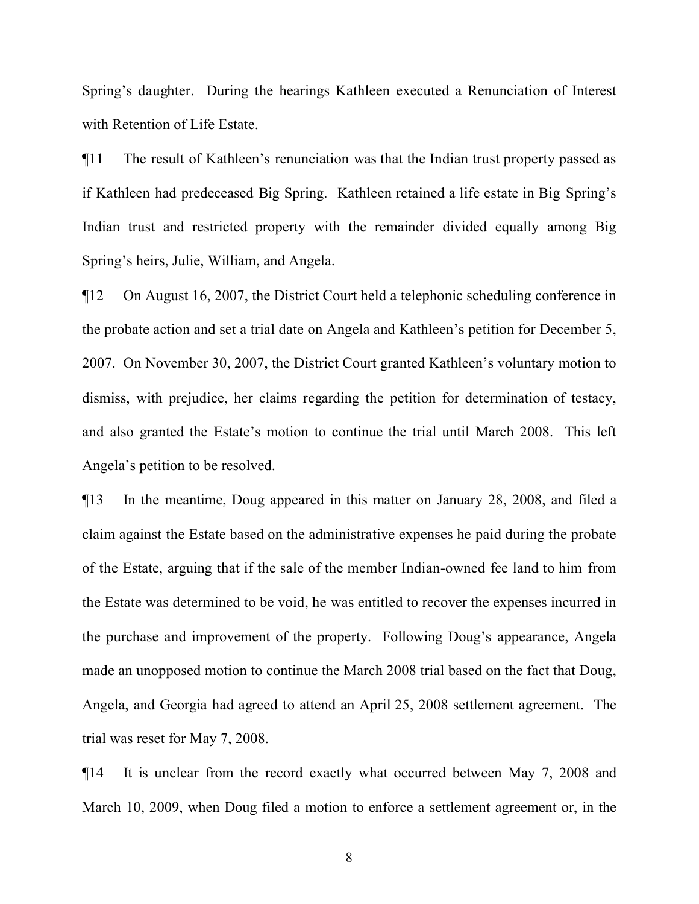Spring's daughter. During the hearings Kathleen executed a Renunciation of Interest with Retention of Life Estate.

¶11 The result of Kathleen's renunciation was that the Indian trust property passed as if Kathleen had predeceased Big Spring. Kathleen retained a life estate in Big Spring's Indian trust and restricted property with the remainder divided equally among Big Spring's heirs, Julie, William, and Angela.

¶12 On August 16, 2007, the District Court held a telephonic scheduling conference in the probate action and set a trial date on Angela and Kathleen's petition for December 5, 2007. On November 30, 2007, the District Court granted Kathleen's voluntary motion to dismiss, with prejudice, her claims regarding the petition for determination of testacy, and also granted the Estate's motion to continue the trial until March 2008. This left Angela's petition to be resolved.

¶13 In the meantime, Doug appeared in this matter on January 28, 2008, and filed a claim against the Estate based on the administrative expenses he paid during the probate of the Estate, arguing that if the sale of the member Indian-owned fee land to him from the Estate was determined to be void, he was entitled to recover the expenses incurred in the purchase and improvement of the property. Following Doug's appearance, Angela made an unopposed motion to continue the March 2008 trial based on the fact that Doug, Angela, and Georgia had agreed to attend an April 25, 2008 settlement agreement. The trial was reset for May 7, 2008.

¶14 It is unclear from the record exactly what occurred between May 7, 2008 and March 10, 2009, when Doug filed a motion to enforce a settlement agreement or, in the

8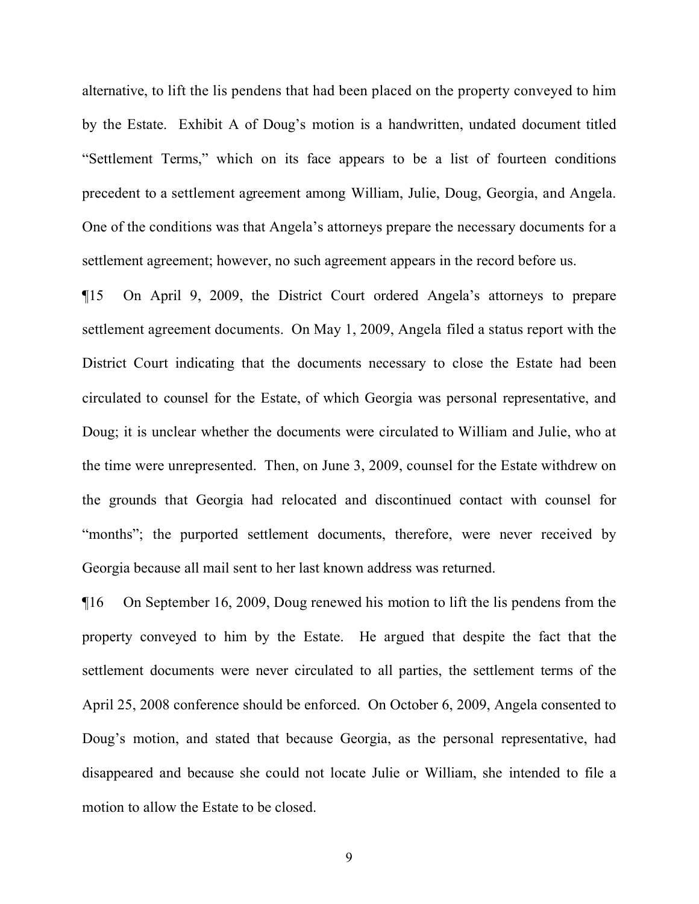alternative, to lift the lis pendens that had been placed on the property conveyed to him by the Estate. Exhibit A of Doug's motion is a handwritten, undated document titled "Settlement Terms," which on its face appears to be a list of fourteen conditions precedent to a settlement agreement among William, Julie, Doug, Georgia, and Angela. One of the conditions was that Angela's attorneys prepare the necessary documents for a settlement agreement; however, no such agreement appears in the record before us.

¶15 On April 9, 2009, the District Court ordered Angela's attorneys to prepare settlement agreement documents. On May 1, 2009, Angela filed a status report with the District Court indicating that the documents necessary to close the Estate had been circulated to counsel for the Estate, of which Georgia was personal representative, and Doug; it is unclear whether the documents were circulated to William and Julie, who at the time were unrepresented. Then, on June 3, 2009, counsel for the Estate withdrew on the grounds that Georgia had relocated and discontinued contact with counsel for "months"; the purported settlement documents, therefore, were never received by Georgia because all mail sent to her last known address was returned.

¶16 On September 16, 2009, Doug renewed his motion to lift the lis pendens from the property conveyed to him by the Estate. He argued that despite the fact that the settlement documents were never circulated to all parties, the settlement terms of the April 25, 2008 conference should be enforced. On October 6, 2009, Angela consented to Doug's motion, and stated that because Georgia, as the personal representative, had disappeared and because she could not locate Julie or William, she intended to file a motion to allow the Estate to be closed.

9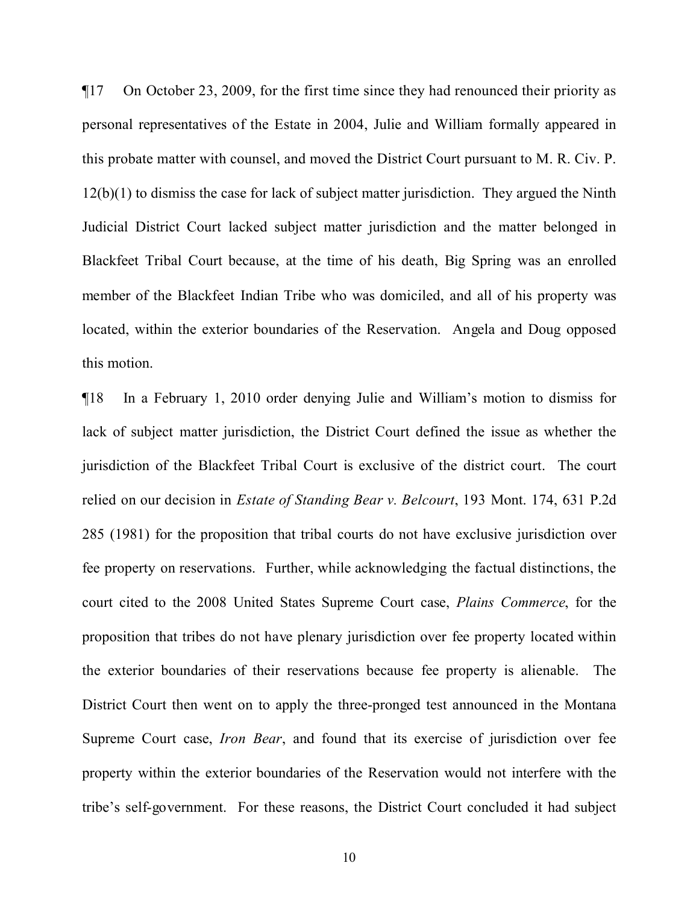¶17 On October 23, 2009, for the first time since they had renounced their priority as personal representatives of the Estate in 2004, Julie and William formally appeared in this probate matter with counsel, and moved the District Court pursuant to M. R. Civ. P. 12(b)(1) to dismiss the case for lack of subject matter jurisdiction. They argued the Ninth Judicial District Court lacked subject matter jurisdiction and the matter belonged in Blackfeet Tribal Court because, at the time of his death, Big Spring was an enrolled member of the Blackfeet Indian Tribe who was domiciled, and all of his property was located, within the exterior boundaries of the Reservation. Angela and Doug opposed this motion.

¶18 In a February 1, 2010 order denying Julie and William's motion to dismiss for lack of subject matter jurisdiction, the District Court defined the issue as whether the jurisdiction of the Blackfeet Tribal Court is exclusive of the district court. The court relied on our decision in *Estate of Standing Bear v. Belcourt*, 193 Mont. 174, 631 P.2d 285 (1981) for the proposition that tribal courts do not have exclusive jurisdiction over fee property on reservations. Further, while acknowledging the factual distinctions, the court cited to the 2008 United States Supreme Court case, *Plains Commerce*, for the proposition that tribes do not have plenary jurisdiction over fee property located within the exterior boundaries of their reservations because fee property is alienable. The District Court then went on to apply the three-pronged test announced in the Montana Supreme Court case, *Iron Bear*, and found that its exercise of jurisdiction over fee property within the exterior boundaries of the Reservation would not interfere with the tribe's self-government. For these reasons, the District Court concluded it had subject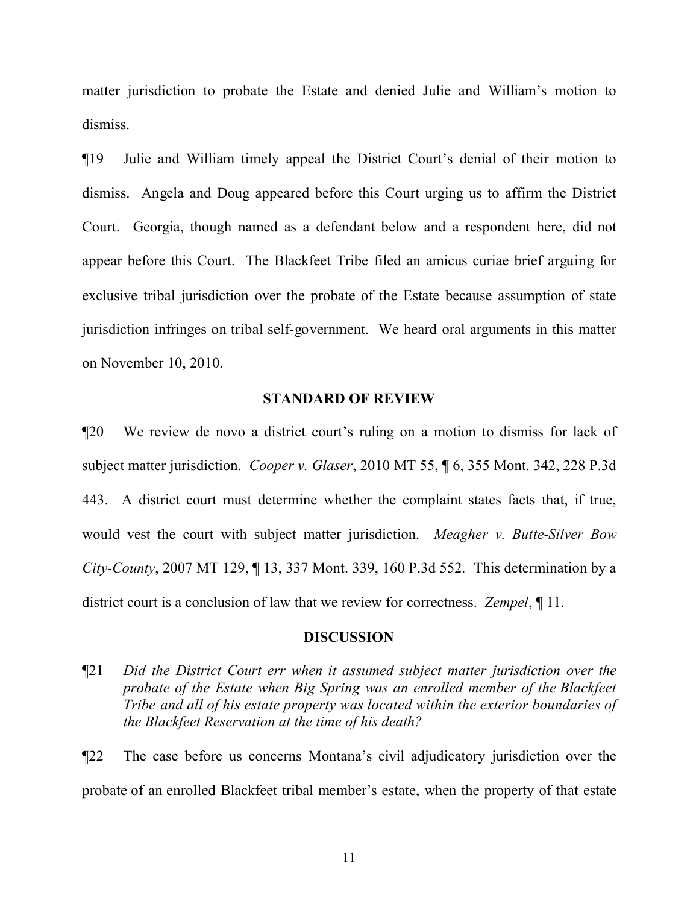matter jurisdiction to probate the Estate and denied Julie and William's motion to dismiss.

¶19 Julie and William timely appeal the District Court's denial of their motion to dismiss. Angela and Doug appeared before this Court urging us to affirm the District Court. Georgia, though named as a defendant below and a respondent here, did not appear before this Court. The Blackfeet Tribe filed an amicus curiae brief arguing for exclusive tribal jurisdiction over the probate of the Estate because assumption of state jurisdiction infringes on tribal self-government. We heard oral arguments in this matter on November 10, 2010.

# **STANDARD OF REVIEW**

¶20 We review de novo a district court's ruling on a motion to dismiss for lack of subject matter jurisdiction. *Cooper v. Glaser*, 2010 MT 55, ¶ 6, 355 Mont. 342, 228 P.3d 443. A district court must determine whether the complaint states facts that, if true, would vest the court with subject matter jurisdiction. *Meagher v. Butte-Silver Bow City-County*, 2007 MT 129, ¶ 13, 337 Mont. 339, 160 P.3d 552*.* This determination by a district court is a conclusion of law that we review for correctness. *Zempel*, ¶ 11.

#### **DISCUSSION**

¶21 *Did the District Court err when it assumed subject matter jurisdiction over the probate of the Estate when Big Spring was an enrolled member of the Blackfeet Tribe and all of his estate property was located within the exterior boundaries of the Blackfeet Reservation at the time of his death?*

¶22 The case before us concerns Montana's civil adjudicatory jurisdiction over the probate of an enrolled Blackfeet tribal member's estate, when the property of that estate

11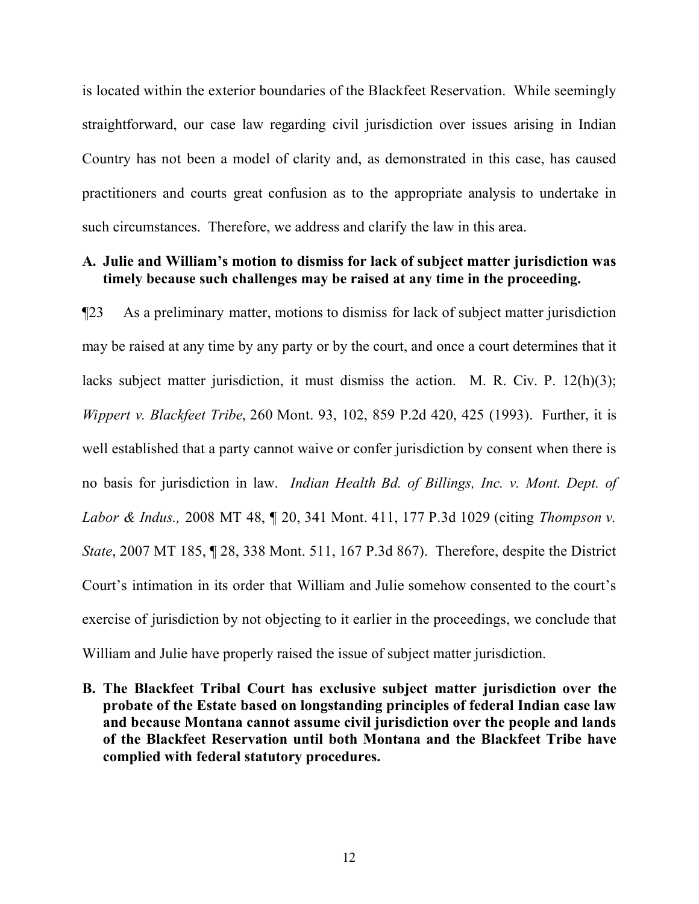is located within the exterior boundaries of the Blackfeet Reservation. While seemingly straightforward, our case law regarding civil jurisdiction over issues arising in Indian Country has not been a model of clarity and, as demonstrated in this case, has caused practitioners and courts great confusion as to the appropriate analysis to undertake in such circumstances. Therefore, we address and clarify the law in this area.

# **A. Julie and William's motion to dismiss for lack of subject matter jurisdiction was timely because such challenges may be raised at any time in the proceeding.**

¶23 As a preliminary matter, motions to dismiss for lack of subject matter jurisdiction may be raised at any time by any party or by the court, and once a court determines that it lacks subject matter jurisdiction, it must dismiss the action. M. R. Civ. P. 12(h)(3); *Wippert v. Blackfeet Tribe*, 260 Mont. 93, 102, 859 P.2d 420, 425 (1993). Further, it is well established that a party cannot waive or confer jurisdiction by consent when there is no basis for jurisdiction in law. *Indian Health Bd. of Billings, Inc. v. Mont. Dept. of Labor & Indus.,* 2008 MT 48, ¶ 20, 341 Mont. 411, 177 P.3d 1029 (citing *Thompson v. State*, 2007 MT 185, 128, 338 Mont. 511, 167 P.3d 867). Therefore, despite the District Court's intimation in its order that William and Julie somehow consented to the court's exercise of jurisdiction by not objecting to it earlier in the proceedings, we conclude that William and Julie have properly raised the issue of subject matter jurisdiction.

**B. The Blackfeet Tribal Court has exclusive subject matter jurisdiction over the probate of the Estate based on longstanding principles of federal Indian case law and because Montana cannot assume civil jurisdiction over the people and lands of the Blackfeet Reservation until both Montana and the Blackfeet Tribe have complied with federal statutory procedures.**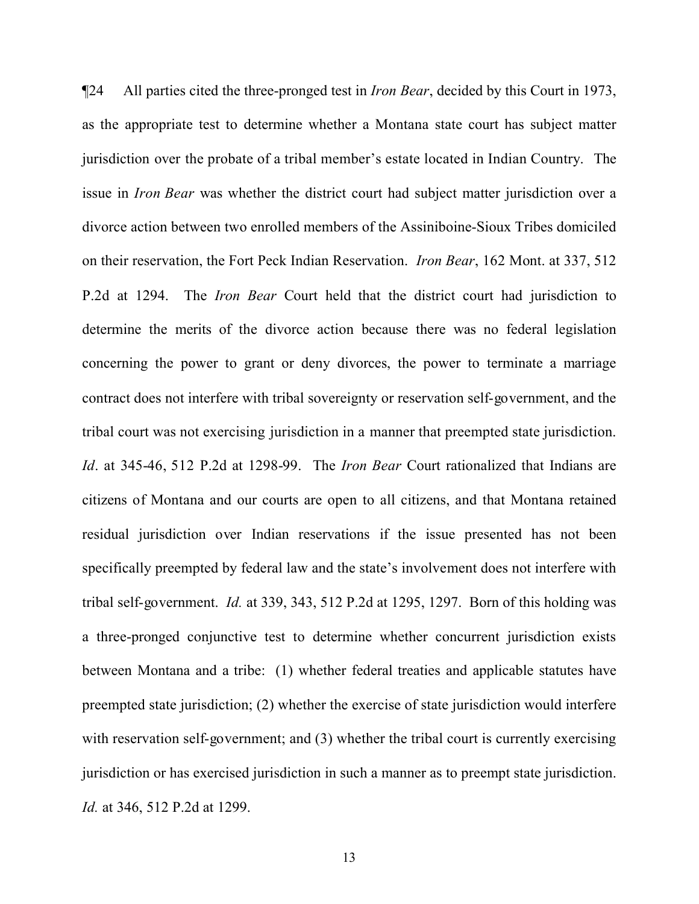¶24 All parties cited the three-pronged test in *Iron Bear*, decided by this Court in 1973, as the appropriate test to determine whether a Montana state court has subject matter jurisdiction over the probate of a tribal member's estate located in Indian Country. The issue in *Iron Bear* was whether the district court had subject matter jurisdiction over a divorce action between two enrolled members of the Assiniboine-Sioux Tribes domiciled on their reservation, the Fort Peck Indian Reservation. *Iron Bear*, 162 Mont. at 337, 512 P.2d at 1294. The *Iron Bear* Court held that the district court had jurisdiction to determine the merits of the divorce action because there was no federal legislation concerning the power to grant or deny divorces, the power to terminate a marriage contract does not interfere with tribal sovereignty or reservation self-government, and the tribal court was not exercising jurisdiction in a manner that preempted state jurisdiction. *Id*. at 345-46, 512 P.2d at 1298-99. The *Iron Bear* Court rationalized that Indians are citizens of Montana and our courts are open to all citizens, and that Montana retained residual jurisdiction over Indian reservations if the issue presented has not been specifically preempted by federal law and the state's involvement does not interfere with tribal self-government. *Id.* at 339, 343, 512 P.2d at 1295, 1297. Born of this holding was a three-pronged conjunctive test to determine whether concurrent jurisdiction exists between Montana and a tribe: (1) whether federal treaties and applicable statutes have preempted state jurisdiction; (2) whether the exercise of state jurisdiction would interfere with reservation self-government; and (3) whether the tribal court is currently exercising jurisdiction or has exercised jurisdiction in such a manner as to preempt state jurisdiction. *Id.* at 346, 512 P.2d at 1299.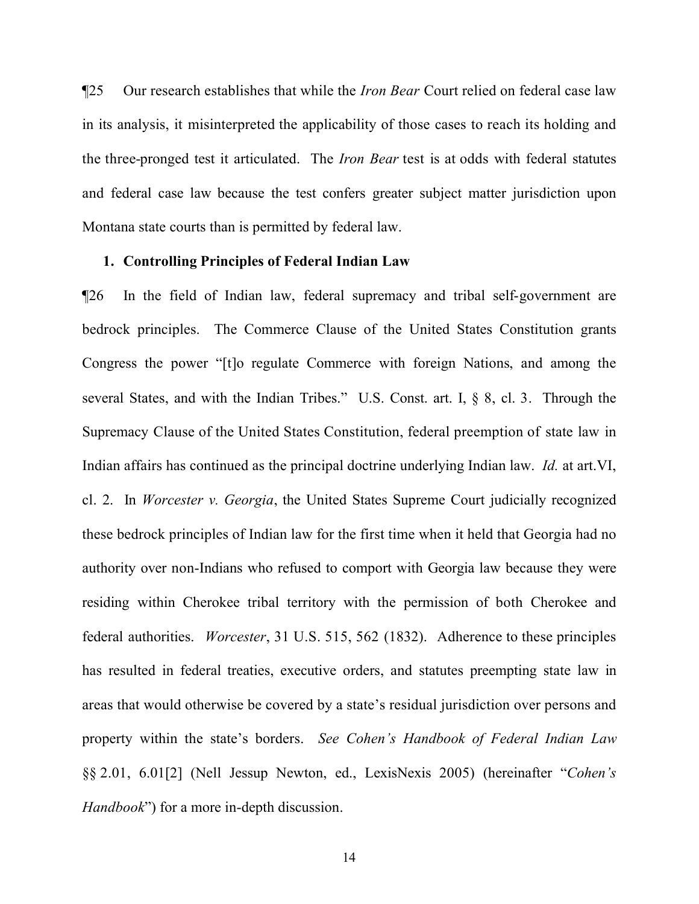¶25 Our research establishes that while the *Iron Bear* Court relied on federal case law in its analysis, it misinterpreted the applicability of those cases to reach its holding and the three-pronged test it articulated. The *Iron Bear* test is at odds with federal statutes and federal case law because the test confers greater subject matter jurisdiction upon Montana state courts than is permitted by federal law.

# **1. Controlling Principles of Federal Indian Law**

¶26 In the field of Indian law, federal supremacy and tribal self-government are bedrock principles. The Commerce Clause of the United States Constitution grants Congress the power "[t]o regulate Commerce with foreign Nations, and among the several States, and with the Indian Tribes." U.S. Const. art. I, § 8, cl. 3. Through the Supremacy Clause of the United States Constitution, federal preemption of state law in Indian affairs has continued as the principal doctrine underlying Indian law. *Id.* at art.VI, cl. 2. In *Worcester v. Georgia*, the United States Supreme Court judicially recognized these bedrock principles of Indian law for the first time when it held that Georgia had no authority over non-Indians who refused to comport with Georgia law because they were residing within Cherokee tribal territory with the permission of both Cherokee and federal authorities. *Worcester*, 31 U.S. 515, 562 (1832). Adherence to these principles has resulted in federal treaties, executive orders, and statutes preempting state law in areas that would otherwise be covered by a state's residual jurisdiction over persons and property within the state's borders. *See Cohen's Handbook of Federal Indian Law* §§ 2.01, 6.01[2] (Nell Jessup Newton, ed., LexisNexis 2005) (hereinafter "*Cohen's Handbook*") for a more in-depth discussion.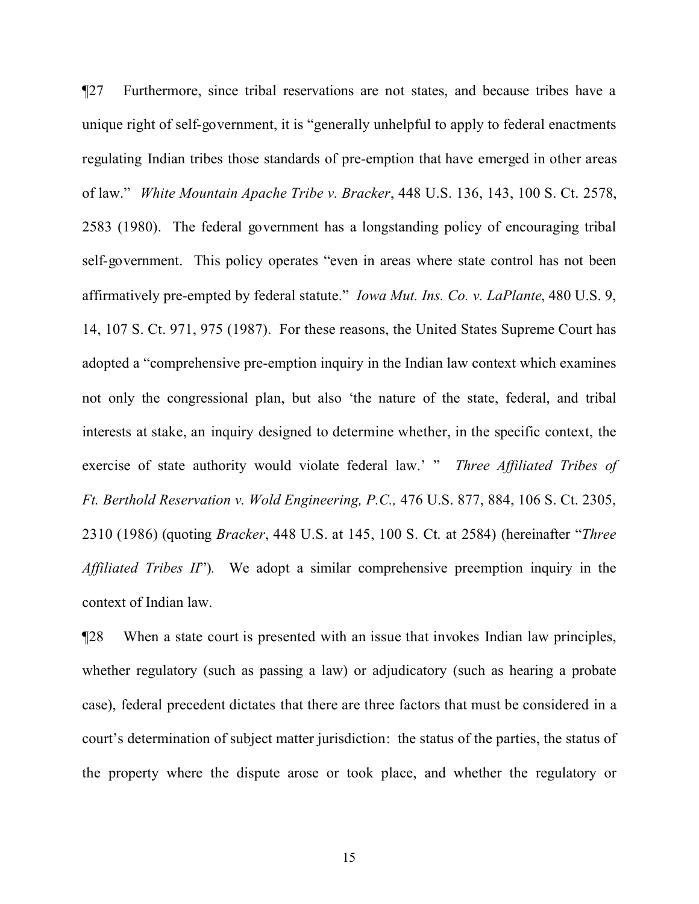¶27 Furthermore, since tribal reservations are not states, and because tribes have a unique right of self-government, it is "generally unhelpful to apply to federal enactments regulating Indian tribes those standards of pre-emption that have emerged in other areas of law." *White Mountain Apache Tribe v. Bracker*, 448 U.S. 136, 143, 100 S. Ct. 2578, 2583 (1980). The federal government has a longstanding policy of encouraging tribal self-government. This policy operates "even in areas where state control has not been affirmatively pre-empted by federal statute." *Iowa Mut. Ins. Co. v. LaPlante*, 480 U.S. 9, 14, 107 S. Ct. 971, 975 (1987). For these reasons, the United States Supreme Court has adopted a "comprehensive pre-emption inquiry in the Indian law context which examines not only the congressional plan, but also 'the nature of the state, federal, and tribal interests at stake, an inquiry designed to determine whether, in the specific context, the exercise of state authority would violate federal law.' " *Three Affiliated Tribes of Ft. Berthold Reservation v. Wold Engineering, P.C.,* 476 U.S. 877, 884, 106 S. Ct. 2305, 2310 (1986) (quoting *Bracker*, 448 U.S. at 145, 100 S. Ct. at 2584) (hereinafter "*Three Affiliated Tribes II*")*.* We adopt a similar comprehensive preemption inquiry in the context of Indian law.

¶28 When a state court is presented with an issue that invokes Indian law principles, whether regulatory (such as passing a law) or adjudicatory (such as hearing a probate case), federal precedent dictates that there are three factors that must be considered in a court's determination of subject matter jurisdiction: the status of the parties, the status of the property where the dispute arose or took place, and whether the regulatory or

15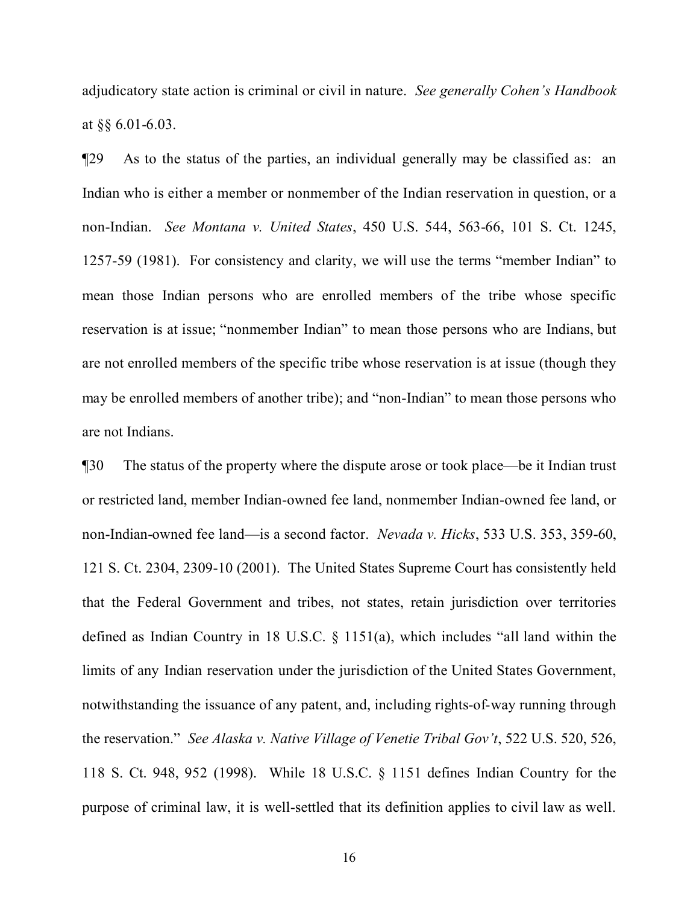adjudicatory state action is criminal or civil in nature. *See generally Cohen's Handbook* at §§ 6.01-6.03.

¶29 As to the status of the parties, an individual generally may be classified as: an Indian who is either a member or nonmember of the Indian reservation in question, or a non-Indian. *See Montana v. United States*, 450 U.S. 544, 563-66, 101 S. Ct. 1245, 1257-59 (1981). For consistency and clarity, we will use the terms "member Indian" to mean those Indian persons who are enrolled members of the tribe whose specific reservation is at issue; "nonmember Indian" to mean those persons who are Indians, but are not enrolled members of the specific tribe whose reservation is at issue (though they may be enrolled members of another tribe); and "non-Indian" to mean those persons who are not Indians.

¶30 The status of the property where the dispute arose or took place—be it Indian trust or restricted land, member Indian-owned fee land, nonmember Indian-owned fee land, or non-Indian-owned fee land—is a second factor. *Nevada v. Hicks*, 533 U.S. 353, 359-60, 121 S. Ct. 2304, 2309-10 (2001). The United States Supreme Court has consistently held that the Federal Government and tribes, not states, retain jurisdiction over territories defined as Indian Country in 18 U.S.C. § 1151(a), which includes "all land within the limits of any Indian reservation under the jurisdiction of the United States Government, notwithstanding the issuance of any patent, and, including rights-of-way running through the reservation." *See Alaska v. Native Village of Venetie Tribal Gov't*, 522 U.S. 520, 526, 118 S. Ct. 948, 952 (1998). While 18 U.S.C. § 1151 defines Indian Country for the purpose of criminal law, it is well-settled that its definition applies to civil law as well.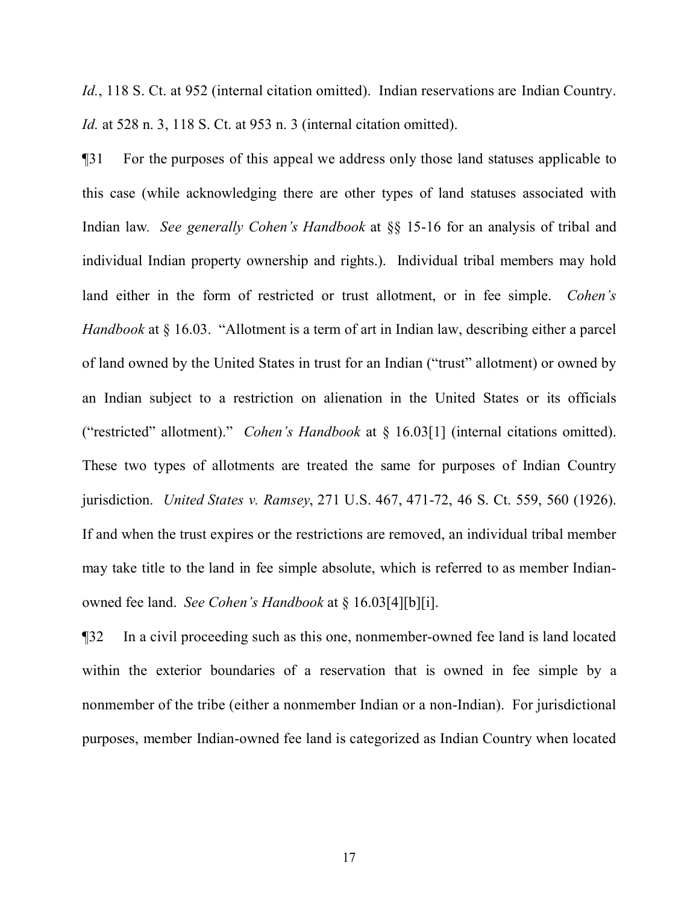Id., 118 S. Ct. at 952 (internal citation omitted). Indian reservations are Indian Country. *Id.* at 528 n. 3, 118 S. Ct. at 953 n. 3 (internal citation omitted).

¶31 For the purposes of this appeal we address only those land statuses applicable to this case (while acknowledging there are other types of land statuses associated with Indian law*. See generally Cohen's Handbook* at §§ 15-16 for an analysis of tribal and individual Indian property ownership and rights.). Individual tribal members may hold land either in the form of restricted or trust allotment, or in fee simple. *Cohen's Handbook* at § 16.03. "Allotment is a term of art in Indian law, describing either a parcel of land owned by the United States in trust for an Indian ("trust" allotment) or owned by an Indian subject to a restriction on alienation in the United States or its officials ("restricted" allotment)." *Cohen's Handbook* at § 16.03[1] (internal citations omitted). These two types of allotments are treated the same for purposes of Indian Country jurisdiction. *United States v. Ramsey*, 271 U.S. 467, 471-72, 46 S. Ct. 559, 560 (1926). If and when the trust expires or the restrictions are removed, an individual tribal member may take title to the land in fee simple absolute, which is referred to as member Indianowned fee land. *See Cohen's Handbook* at § 16.03[4][b][i].

¶32 In a civil proceeding such as this one, nonmember-owned fee land is land located within the exterior boundaries of a reservation that is owned in fee simple by a nonmember of the tribe (either a nonmember Indian or a non-Indian). For jurisdictional purposes, member Indian-owned fee land is categorized as Indian Country when located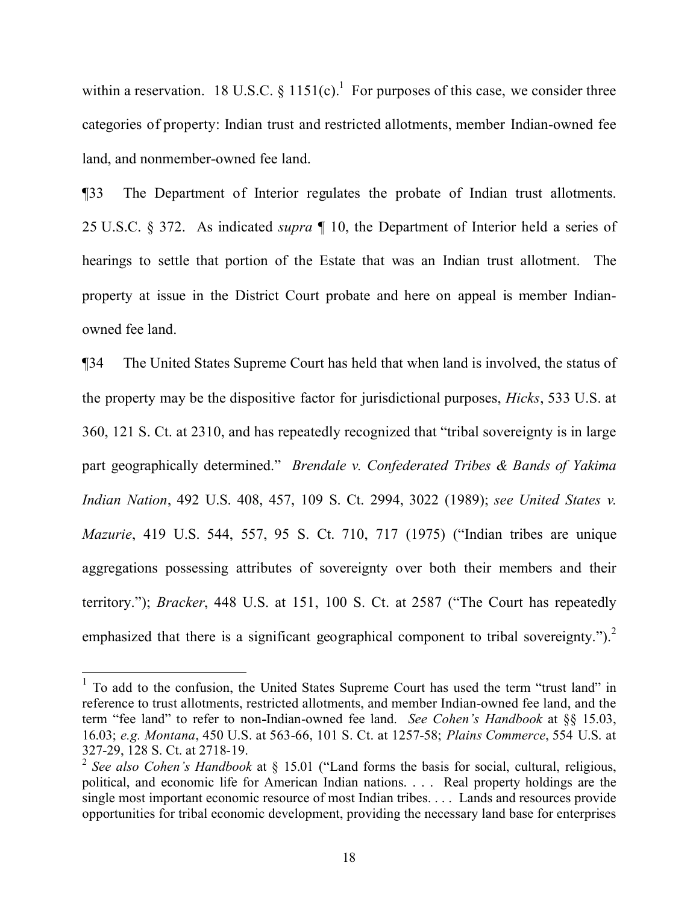within a reservation. [1](#page-17-0)8 U.S.C. § 1151(c). For purposes of this case, we consider three categories of property: Indian trust and restricted allotments, member Indian-owned fee land, and nonmember-owned fee land.

¶33 The Department of Interior regulates the probate of Indian trust allotments. 25 U.S.C. § 372. As indicated *supra* ¶ 10, the Department of Interior held a series of hearings to settle that portion of the Estate that was an Indian trust allotment. The property at issue in the District Court probate and here on appeal is member Indianowned fee land.

¶34 The United States Supreme Court has held that when land is involved, the status of the property may be the dispositive factor for jurisdictional purposes, *Hicks*, 533 U.S. at 360, 121 S. Ct. at 2310, and has repeatedly recognized that "tribal sovereignty is in large part geographically determined." *Brendale v. Confederated Tribes & Bands of Yakima Indian Nation*, 492 U.S. 408, 457, 109 S. Ct. 2994, 3022 (1989); *see United States v. Mazurie*, 419 U.S. 544, 557, 95 S. Ct. 710, 717 (1975) ("Indian tribes are unique aggregations possessing attributes of sovereignty over both their members and their territory."); *Bracker*, 448 U.S. at 151, 100 S. Ct. at 2587 ("The Court has repeatedly emphasized that there is a significant geographical component to tribal sovereignty.").<sup>[2](#page-17-1)</sup>

<span id="page-17-0"></span><sup>&</sup>lt;sup>1</sup> To add to the confusion, the United States Supreme Court has used the term "trust land" in reference to trust allotments, restricted allotments, and member Indian-owned fee land, and the term "fee land" to refer to non-Indian-owned fee land. *See Cohen's Handbook* at §§ 15.03, 16.03; *e.g. Montana*, 450 U.S. at 563-66, 101 S. Ct. at 1257-58; *Plains Commerce*, 554 U.S. at 327-29, 128 S. Ct. at 2718-19.

<span id="page-17-1"></span><sup>&</sup>lt;sup>2</sup> See also Cohen's Handbook at § 15.01 ("Land forms the basis for social, cultural, religious, political, and economic life for American Indian nations. . . . Real property holdings are the single most important economic resource of most Indian tribes. . . . Lands and resources provide opportunities for tribal economic development, providing the necessary land base for enterprises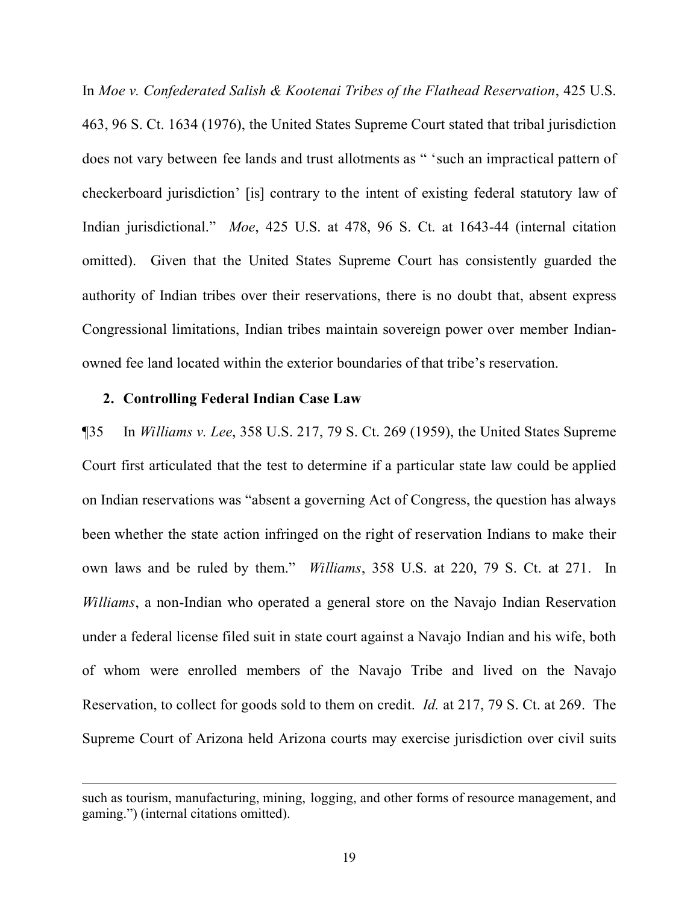In *Moe v. Confederated Salish & Kootenai Tribes of the Flathead Reservation*, 425 U.S. 463, 96 S. Ct. 1634 (1976), the United States Supreme Court stated that tribal jurisdiction does not vary between fee lands and trust allotments as " 'such an impractical pattern of checkerboard jurisdiction' [is] contrary to the intent of existing federal statutory law of Indian jurisdictional." *Moe*, 425 U.S. at 478, 96 S. Ct. at 1643-44 (internal citation omitted). Given that the United States Supreme Court has consistently guarded the authority of Indian tribes over their reservations, there is no doubt that, absent express Congressional limitations, Indian tribes maintain sovereign power over member Indianowned fee land located within the exterior boundaries of that tribe's reservation.

#### **2. Controlling Federal Indian Case Law**

i

¶35 In *Williams v. Lee*, 358 U.S. 217, 79 S. Ct. 269 (1959), the United States Supreme Court first articulated that the test to determine if a particular state law could be applied on Indian reservations was "absent a governing Act of Congress, the question has always been whether the state action infringed on the right of reservation Indians to make their own laws and be ruled by them." *Williams*, 358 U.S. at 220, 79 S. Ct. at 271. In *Williams*, a non-Indian who operated a general store on the Navajo Indian Reservation under a federal license filed suit in state court against a Navajo Indian and his wife, both of whom were enrolled members of the Navajo Tribe and lived on the Navajo Reservation, to collect for goods sold to them on credit. *Id.* at 217, 79 S. Ct. at 269. The Supreme Court of Arizona held Arizona courts may exercise jurisdiction over civil suits

such as tourism, manufacturing, mining, logging, and other forms of resource management, and gaming.") (internal citations omitted).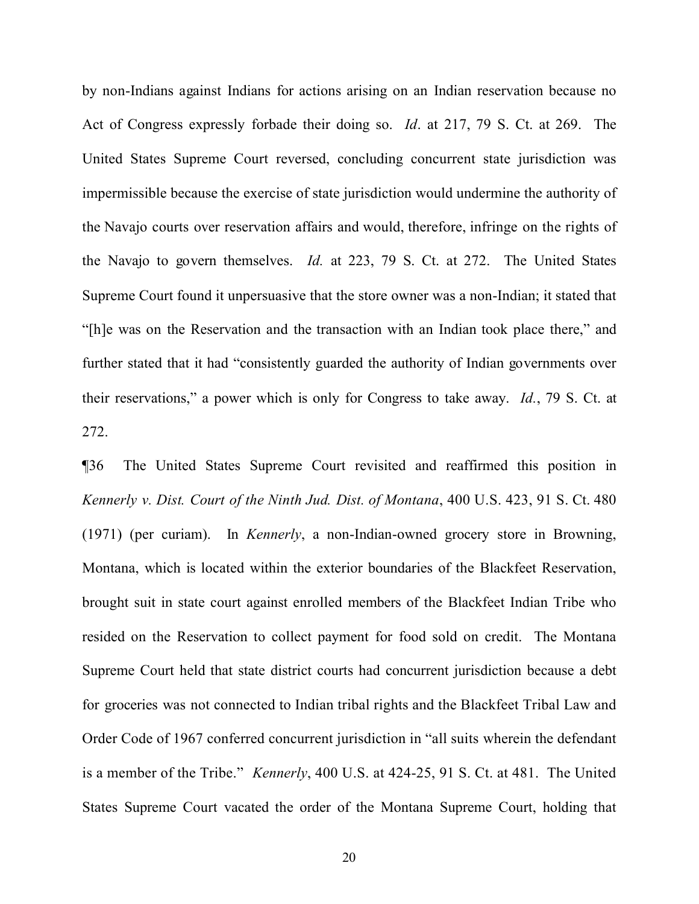by non-Indians against Indians for actions arising on an Indian reservation because no Act of Congress expressly forbade their doing so. *Id*. at 217, 79 S. Ct. at 269. The United States Supreme Court reversed, concluding concurrent state jurisdiction was impermissible because the exercise of state jurisdiction would undermine the authority of the Navajo courts over reservation affairs and would, therefore, infringe on the rights of the Navajo to govern themselves. *Id.* at 223, 79 S. Ct. at 272. The United States Supreme Court found it unpersuasive that the store owner was a non-Indian; it stated that "[h]e was on the Reservation and the transaction with an Indian took place there," and further stated that it had "consistently guarded the authority of Indian governments over their reservations," a power which is only for Congress to take away. *Id.*, 79 S. Ct. at 272.

¶36 The United States Supreme Court revisited and reaffirmed this position in *Kennerly v. Dist. Court of the Ninth Jud. Dist. of Montana*, 400 U.S. 423, 91 S. Ct. 480 (1971) (per curiam). In *Kennerly*, a non-Indian-owned grocery store in Browning, Montana, which is located within the exterior boundaries of the Blackfeet Reservation, brought suit in state court against enrolled members of the Blackfeet Indian Tribe who resided on the Reservation to collect payment for food sold on credit. The Montana Supreme Court held that state district courts had concurrent jurisdiction because a debt for groceries was not connected to Indian tribal rights and the Blackfeet Tribal Law and Order Code of 1967 conferred concurrent jurisdiction in "all suits wherein the defendant is a member of the Tribe." *Kennerly*, 400 U.S. at 424-25, 91 S. Ct. at 481. The United States Supreme Court vacated the order of the Montana Supreme Court, holding that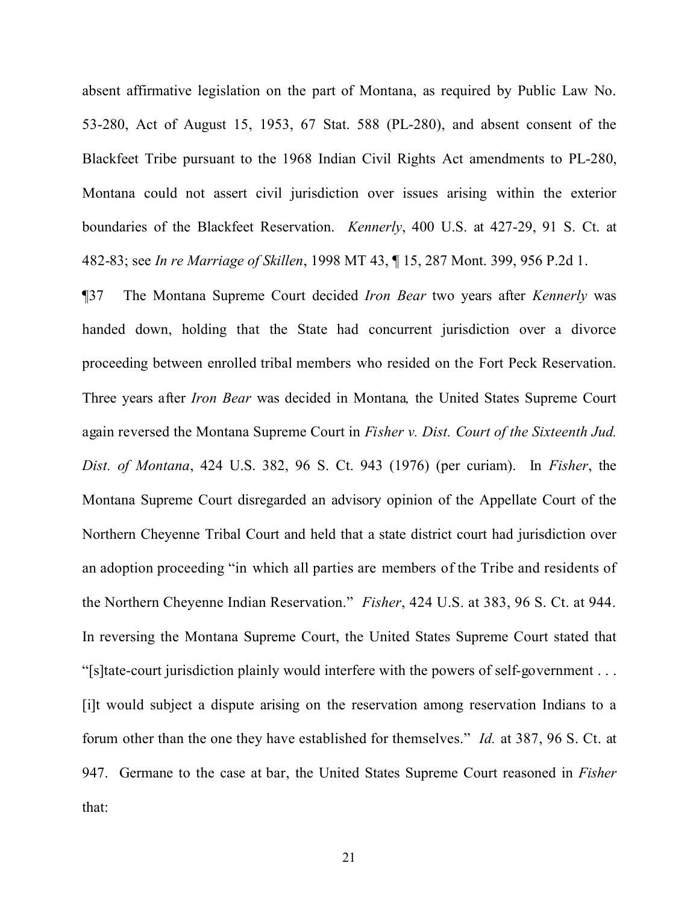absent affirmative legislation on the part of Montana, as required by Public Law No. 53-280, Act of August 15, 1953, 67 Stat. 588 (PL-280), and absent consent of the Blackfeet Tribe pursuant to the 1968 Indian Civil Rights Act amendments to PL-280, Montana could not assert civil jurisdiction over issues arising within the exterior boundaries of the Blackfeet Reservation. *Kennerly*, 400 U.S. at 427-29, 91 S. Ct. at 482-83; see *In re Marriage of Skillen*, 1998 MT 43, ¶ 15, 287 Mont. 399, 956 P.2d 1.

¶37 The Montana Supreme Court decided *Iron Bear* two years after *Kennerly* was handed down, holding that the State had concurrent jurisdiction over a divorce proceeding between enrolled tribal members who resided on the Fort Peck Reservation. Three years after *Iron Bear* was decided in Montana*,* the United States Supreme Court again reversed the Montana Supreme Court in *Fisher v. Dist. Court of the Sixteenth Jud. Dist. of Montana*, 424 U.S. 382, 96 S. Ct. 943 (1976) (per curiam). In *Fisher*, the Montana Supreme Court disregarded an advisory opinion of the Appellate Court of the Northern Cheyenne Tribal Court and held that a state district court had jurisdiction over an adoption proceeding "in which all parties are members of the Tribe and residents of the Northern Cheyenne Indian Reservation." *Fisher*, 424 U.S. at 383, 96 S. Ct. at 944. In reversing the Montana Supreme Court, the United States Supreme Court stated that "[s]tate-court jurisdiction plainly would interfere with the powers of self-government . . . [i]t would subject a dispute arising on the reservation among reservation Indians to a forum other than the one they have established for themselves." *Id.* at 387, 96 S. Ct. at 947. Germane to the case at bar, the United States Supreme Court reasoned in *Fisher* that: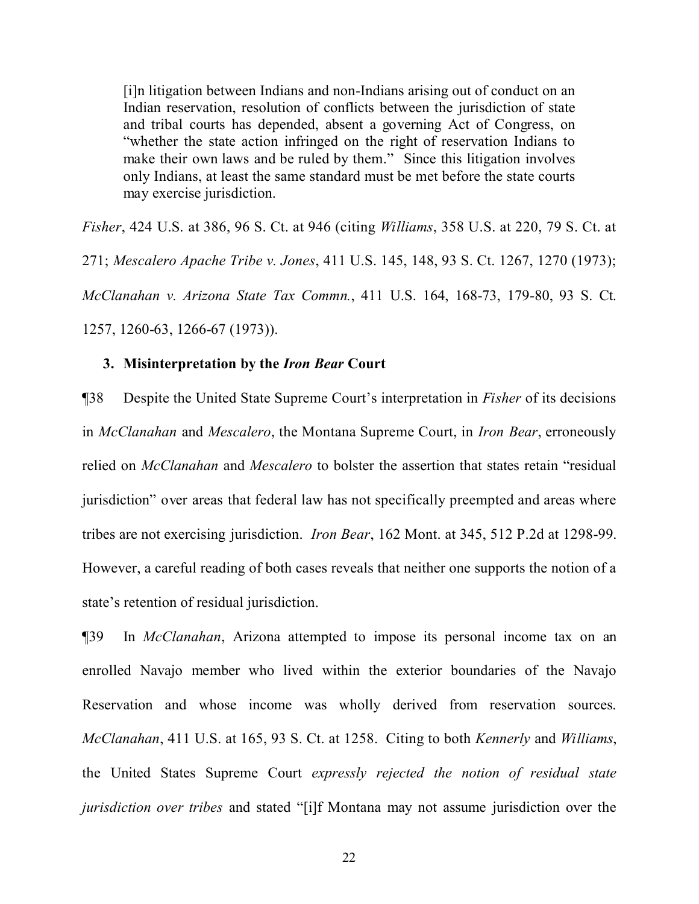[i]n litigation between Indians and non-Indians arising out of conduct on an Indian reservation, resolution of conflicts between the jurisdiction of state and tribal courts has depended, absent a governing Act of Congress, on "whether the state action infringed on the right of reservation Indians to make their own laws and be ruled by them." Since this litigation involves only Indians, at least the same standard must be met before the state courts may exercise jurisdiction.

*Fisher*, 424 U.S. at 386, 96 S. Ct. at 946 (citing *Williams*, 358 U.S. at 220, 79 S. Ct. at 271; *Mescalero Apache Tribe v. Jones*, 411 U.S. 145, 148, 93 S. Ct. 1267, 1270 (1973); *McClanahan v. Arizona State Tax Commn.*, 411 U.S. 164, 168-73, 179-80, 93 S. Ct. 1257, 1260-63, 1266-67 (1973)).

## **3. Misinterpretation by the** *Iron Bear* **Court**

¶38 Despite the United State Supreme Court's interpretation in *Fisher* of its decisions in *McClanahan* and *Mescalero*, the Montana Supreme Court, in *Iron Bear*, erroneously relied on *McClanahan* and *Mescalero* to bolster the assertion that states retain "residual jurisdiction" over areas that federal law has not specifically preempted and areas where tribes are not exercising jurisdiction. *Iron Bear*, 162 Mont. at 345, 512 P.2d at 1298-99. However, a careful reading of both cases reveals that neither one supports the notion of a state's retention of residual jurisdiction.

¶39 In *McClanahan*, Arizona attempted to impose its personal income tax on an enrolled Navajo member who lived within the exterior boundaries of the Navajo Reservation and whose income was wholly derived from reservation sources. *McClanahan*, 411 U.S. at 165, 93 S. Ct. at 1258. Citing to both *Kennerly* and *Williams*, the United States Supreme Court *expressly rejected the notion of residual state jurisdiction over tribes* and stated "[i]f Montana may not assume jurisdiction over the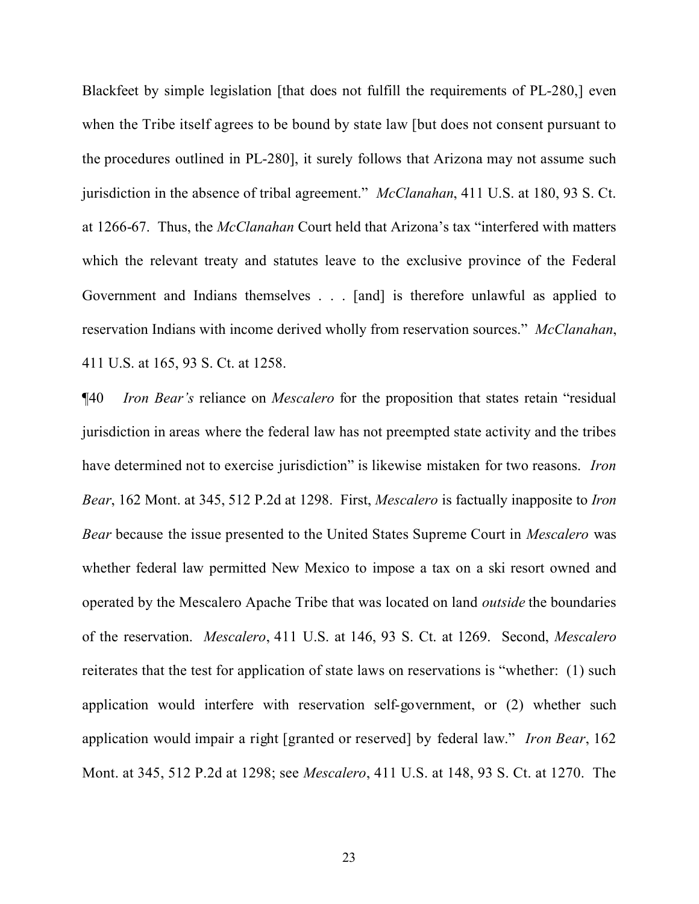Blackfeet by simple legislation [that does not fulfill the requirements of PL-280,] even when the Tribe itself agrees to be bound by state law [but does not consent pursuant to the procedures outlined in PL-280], it surely follows that Arizona may not assume such jurisdiction in the absence of tribal agreement." *McClanahan*, 411 U.S. at 180, 93 S. Ct. at 1266-67. Thus, the *McClanahan* Court held that Arizona's tax "interfered with matters which the relevant treaty and statutes leave to the exclusive province of the Federal Government and Indians themselves . . . [and] is therefore unlawful as applied to reservation Indians with income derived wholly from reservation sources." *McClanahan*, 411 U.S. at 165, 93 S. Ct. at 1258.

¶40 *Iron Bear's* reliance on *Mescalero* for the proposition that states retain "residual jurisdiction in areas where the federal law has not preempted state activity and the tribes have determined not to exercise jurisdiction" is likewise mistaken for two reasons. *Iron Bear*, 162 Mont. at 345, 512 P.2d at 1298. First, *Mescalero* is factually inapposite to *Iron Bear* because the issue presented to the United States Supreme Court in *Mescalero* was whether federal law permitted New Mexico to impose a tax on a ski resort owned and operated by the Mescalero Apache Tribe that was located on land *outside* the boundaries of the reservation. *Mescalero*, 411 U.S. at 146, 93 S. Ct. at 1269. Second, *Mescalero* reiterates that the test for application of state laws on reservations is "whether: (1) such application would interfere with reservation self-government, or (2) whether such application would impair a right [granted or reserved] by federal law." *Iron Bear*, 162 Mont. at 345, 512 P.2d at 1298; see *Mescalero*, 411 U.S. at 148, 93 S. Ct. at 1270. The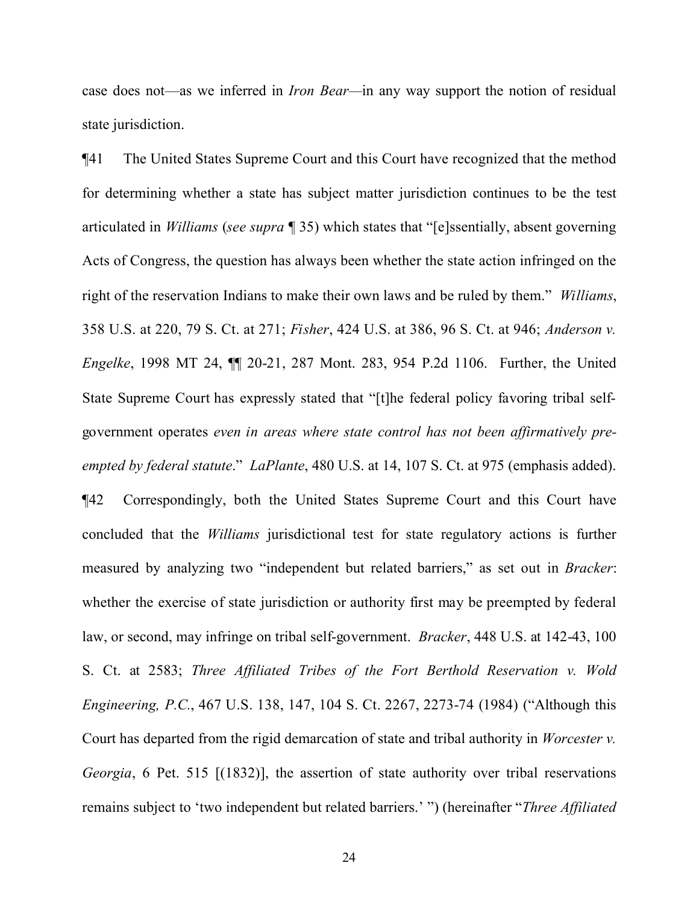case does not—as we inferred in *Iron Bear—*in any way support the notion of residual state jurisdiction.

¶41 The United States Supreme Court and this Court have recognized that the method for determining whether a state has subject matter jurisdiction continues to be the test articulated in *Williams* (*see supra* ¶ 35) which states that "[e]ssentially, absent governing Acts of Congress, the question has always been whether the state action infringed on the right of the reservation Indians to make their own laws and be ruled by them." *Williams*, 358 U.S. at 220, 79 S. Ct. at 271; *Fisher*, 424 U.S. at 386, 96 S. Ct. at 946; *Anderson v. Engelke*, 1998 MT 24, ¶¶ 20-21, 287 Mont. 283, 954 P.2d 1106. Further, the United State Supreme Court has expressly stated that "[t]he federal policy favoring tribal selfgovernment operates *even in areas where state control has not been affirmatively preempted by federal statute*." *LaPlante*, 480 U.S. at 14, 107 S. Ct. at 975 (emphasis added). ¶42 Correspondingly, both the United States Supreme Court and this Court have concluded that the *Williams* jurisdictional test for state regulatory actions is further measured by analyzing two "independent but related barriers," as set out in *Bracker*: whether the exercise of state jurisdiction or authority first may be preempted by federal law, or second, may infringe on tribal self-government. *Bracker*, 448 U.S. at 142-43, 100 S. Ct. at 2583; *Three Affiliated Tribes of the Fort Berthold Reservation v. Wold Engineering, P.C.*, 467 U.S. 138, 147, 104 S. Ct. 2267, 2273-74 (1984) ("Although this Court has departed from the rigid demarcation of state and tribal authority in *Worcester v. Georgia*, 6 Pet. 515 [(1832)], the assertion of state authority over tribal reservations remains subject to 'two independent but related barriers.' ") (hereinafter "*Three Affiliated*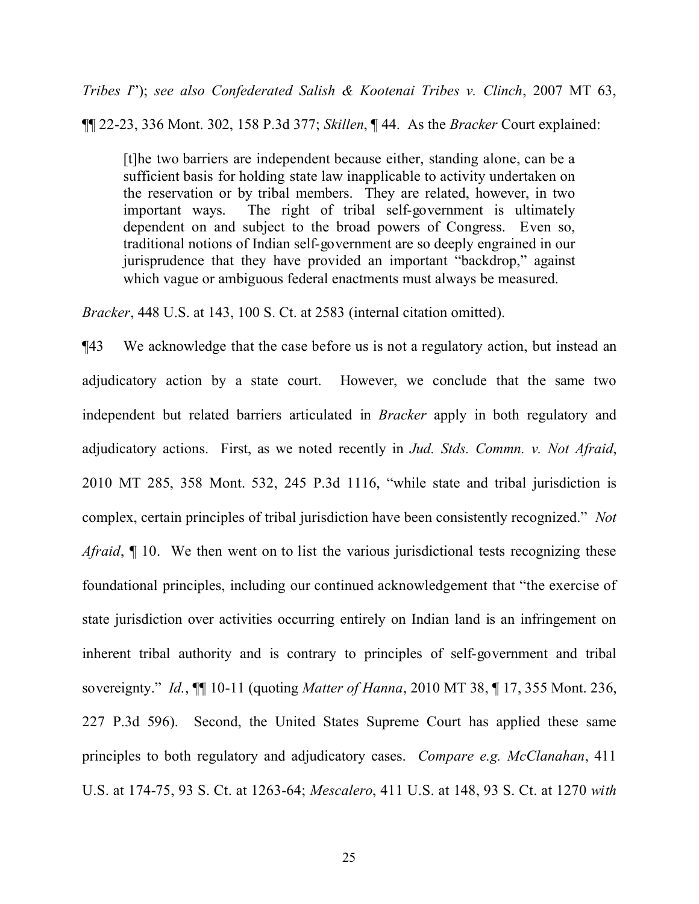*Tribes I*"); *see also Confederated Salish & Kootenai Tribes v. Clinch*, 2007 MT 63,

¶¶ 22-23, 336 Mont. 302, 158 P.3d 377; *Skillen*, ¶ 44. As the *Bracker* Court explained:

[t]he two barriers are independent because either, standing alone, can be a sufficient basis for holding state law inapplicable to activity undertaken on the reservation or by tribal members. They are related, however, in two important ways. The right of tribal self-government is ultimately dependent on and subject to the broad powers of Congress. Even so, traditional notions of Indian self-government are so deeply engrained in our jurisprudence that they have provided an important "backdrop," against which vague or ambiguous federal enactments must always be measured.

*Bracker*, 448 U.S. at 143, 100 S. Ct. at 2583 (internal citation omitted).

¶43 We acknowledge that the case before us is not a regulatory action, but instead an adjudicatory action by a state court. However, we conclude that the same two independent but related barriers articulated in *Bracker* apply in both regulatory and adjudicatory actions. First, as we noted recently in *Jud. Stds. Commn. v. Not Afraid*, 2010 MT 285, 358 Mont. 532, 245 P.3d 1116, "while state and tribal jurisdiction is complex, certain principles of tribal jurisdiction have been consistently recognized." *Not Afraid*,  $\parallel$  10. We then went on to list the various jurisdictional tests recognizing these foundational principles, including our continued acknowledgement that "the exercise of state jurisdiction over activities occurring entirely on Indian land is an infringement on inherent tribal authority and is contrary to principles of self-government and tribal sovereignty." *Id.*, ¶¶ 10-11 (quoting *Matter of Hanna*, 2010 MT 38, ¶ 17, 355 Mont. 236, 227 P.3d 596).Second, the United States Supreme Court has applied these same principles to both regulatory and adjudicatory cases. *Compare e.g. McClanahan*, 411 U.S. at 174-75, 93 S. Ct. at 1263-64; *Mescalero*, 411 U.S. at 148, 93 S. Ct. at 1270 *with*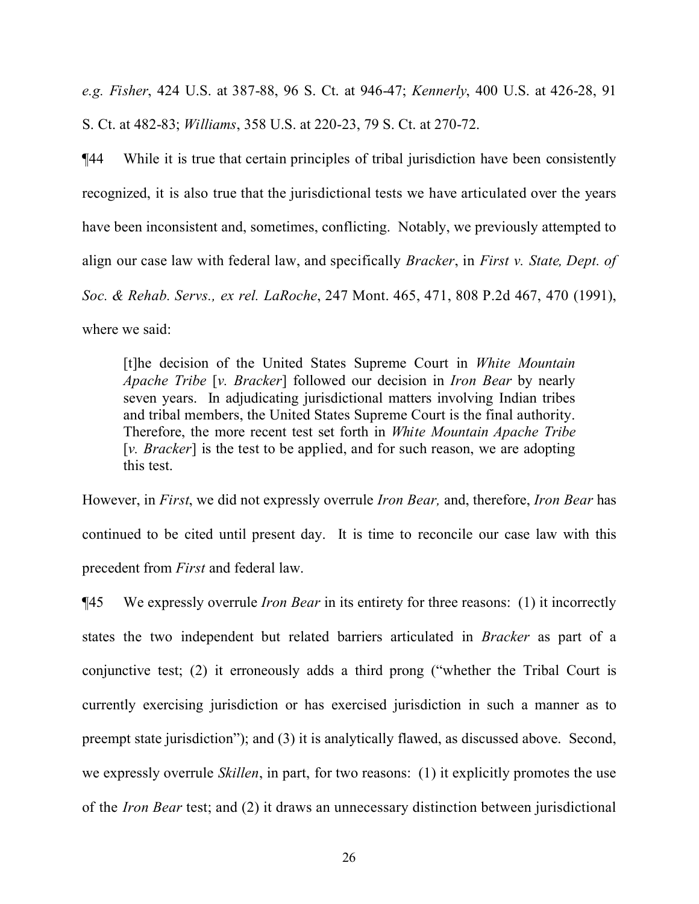*e.g. Fisher*, 424 U.S. at 387-88, 96 S. Ct. at 946-47; *Kennerly*, 400 U.S. at 426-28, 91 S. Ct. at 482-83; *Williams*, 358 U.S. at 220-23, 79 S. Ct. at 270-72.

¶44 While it is true that certain principles of tribal jurisdiction have been consistently recognized, it is also true that the jurisdictional tests we have articulated over the years have been inconsistent and, sometimes, conflicting. Notably, we previously attempted to align our case law with federal law, and specifically *Bracker*, in *First v. State, Dept. of Soc. & Rehab. Servs., ex rel. LaRoche*, 247 Mont. 465, 471, 808 P.2d 467, 470 (1991), where we said:

[t]he decision of the United States Supreme Court in *White Mountain Apache Tribe* [*v. Bracker*] followed our decision in *Iron Bear* by nearly seven years. In adjudicating jurisdictional matters involving Indian tribes and tribal members, the United States Supreme Court is the final authority. Therefore, the more recent test set forth in *White Mountain Apache Tribe* [*v. Bracker*] is the test to be applied, and for such reason, we are adopting this test.

However, in *First*, we did not expressly overrule *Iron Bear,* and, therefore, *Iron Bear* has continued to be cited until present day. It is time to reconcile our case law with this precedent from *First* and federal law.

¶45 We expressly overrule *Iron Bear* in its entirety for three reasons: (1) it incorrectly states the two independent but related barriers articulated in *Bracker* as part of a conjunctive test; (2) it erroneously adds a third prong ("whether the Tribal Court is currently exercising jurisdiction or has exercised jurisdiction in such a manner as to preempt state jurisdiction"); and (3) it is analytically flawed, as discussed above. Second, we expressly overrule *Skillen*, in part, for two reasons: (1) it explicitly promotes the use of the *Iron Bear* test; and (2) it draws an unnecessary distinction between jurisdictional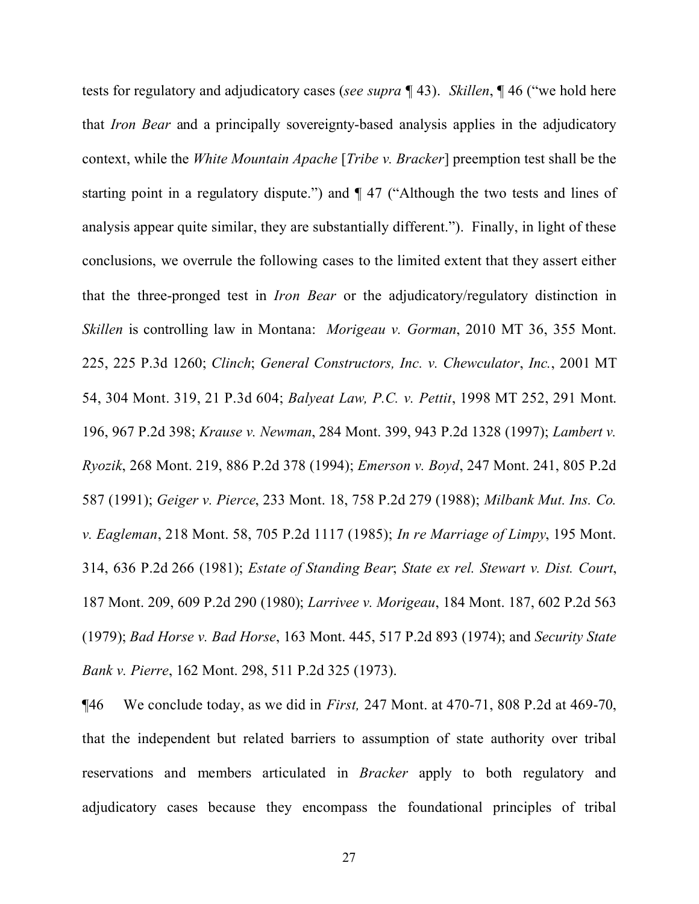tests for regulatory and adjudicatory cases (*see supra* ¶ 43). *Skillen*, ¶ 46 ("we hold here that *Iron Bear* and a principally sovereignty-based analysis applies in the adjudicatory context, while the *White Mountain Apache* [*Tribe v. Bracker*] preemption test shall be the starting point in a regulatory dispute.") and ¶ 47 ("Although the two tests and lines of analysis appear quite similar, they are substantially different."). Finally, in light of these conclusions, we overrule the following cases to the limited extent that they assert either that the three-pronged test in *Iron Bear* or the adjudicatory/regulatory distinction in *Skillen* is controlling law in Montana: *Morigeau v. Gorman*, 2010 MT 36, 355 Mont. 225, 225 P.3d 1260; *Clinch*; *General Constructors, Inc. v. Chewculator*, *Inc.*, 2001 MT 54, 304 Mont. 319, 21 P.3d 604; *Balyeat Law, P.C. v. Pettit*, 1998 MT 252, 291 Mont. 196, 967 P.2d 398; *Krause v. Newman*, 284 Mont. 399, 943 P.2d 1328 (1997); *Lambert v. Ryozik*, 268 Mont. 219, 886 P.2d 378 (1994); *Emerson v. Boyd*, 247 Mont. 241, 805 P.2d 587 (1991); *Geiger v. Pierce*, 233 Mont. 18, 758 P.2d 279 (1988); *Milbank Mut. Ins. Co. v. Eagleman*, 218 Mont. 58, 705 P.2d 1117 (1985); *In re Marriage of Limpy*, 195 Mont. 314, 636 P.2d 266 (1981); *Estate of Standing Bear*; *State ex rel. Stewart v. Dist. Court*, 187 Mont. 209, 609 P.2d 290 (1980); *Larrivee v. Morigeau*, 184 Mont. 187, 602 P.2d 563 (1979); *Bad Horse v. Bad Horse*, 163 Mont. 445, 517 P.2d 893 (1974); and *Security State Bank v. Pierre*, 162 Mont. 298, 511 P.2d 325 (1973).

¶46 We conclude today, as we did in *First,* 247 Mont. at 470-71, 808 P.2d at 469-70, that the independent but related barriers to assumption of state authority over tribal reservations and members articulated in *Bracker* apply to both regulatory and adjudicatory cases because they encompass the foundational principles of tribal

27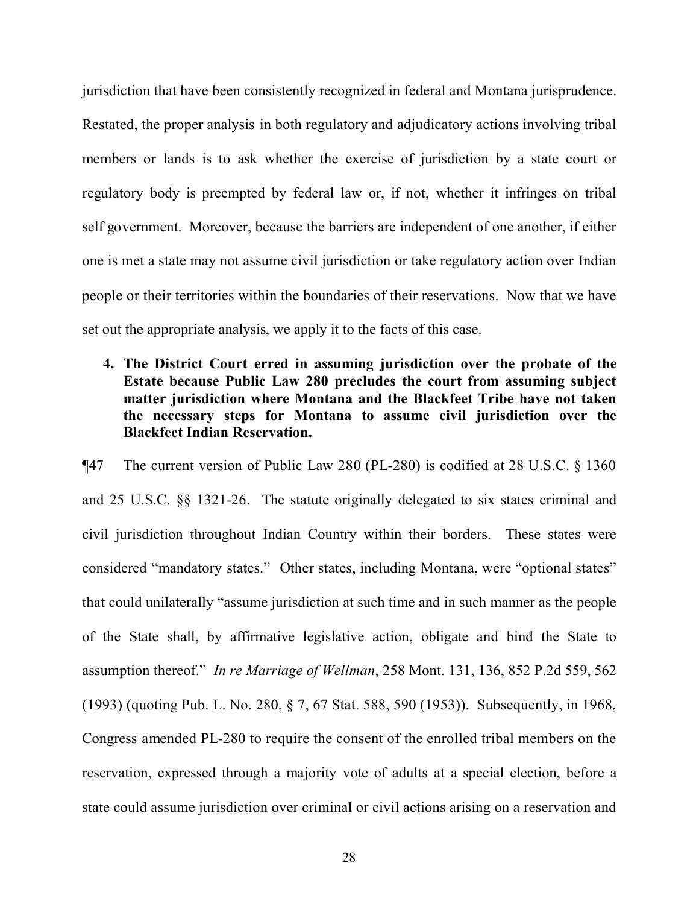jurisdiction that have been consistently recognized in federal and Montana jurisprudence. Restated, the proper analysis in both regulatory and adjudicatory actions involving tribal members or lands is to ask whether the exercise of jurisdiction by a state court or regulatory body is preempted by federal law or, if not, whether it infringes on tribal self government. Moreover, because the barriers are independent of one another, if either one is met a state may not assume civil jurisdiction or take regulatory action over Indian people or their territories within the boundaries of their reservations. Now that we have set out the appropriate analysis, we apply it to the facts of this case.

**4. The District Court erred in assuming jurisdiction over the probate of the Estate because Public Law 280 precludes the court from assuming subject matter jurisdiction where Montana and the Blackfeet Tribe have not taken the necessary steps for Montana to assume civil jurisdiction over the Blackfeet Indian Reservation.**

¶47 The current version of Public Law 280 (PL-280) is codified at 28 U.S.C. § 1360 and 25 U.S.C. §§ 1321-26. The statute originally delegated to six states criminal and civil jurisdiction throughout Indian Country within their borders. These states were considered "mandatory states." Other states, including Montana, were "optional states" that could unilaterally "assume jurisdiction at such time and in such manner as the people of the State shall, by affirmative legislative action, obligate and bind the State to assumption thereof." *In re Marriage of Wellman*, 258 Mont. 131, 136, 852 P.2d 559, 562 (1993) (quoting Pub. L. No. 280, § 7, 67 Stat. 588, 590 (1953)). Subsequently, in 1968, Congress amended PL-280 to require the consent of the enrolled tribal members on the reservation, expressed through a majority vote of adults at a special election, before a state could assume jurisdiction over criminal or civil actions arising on a reservation and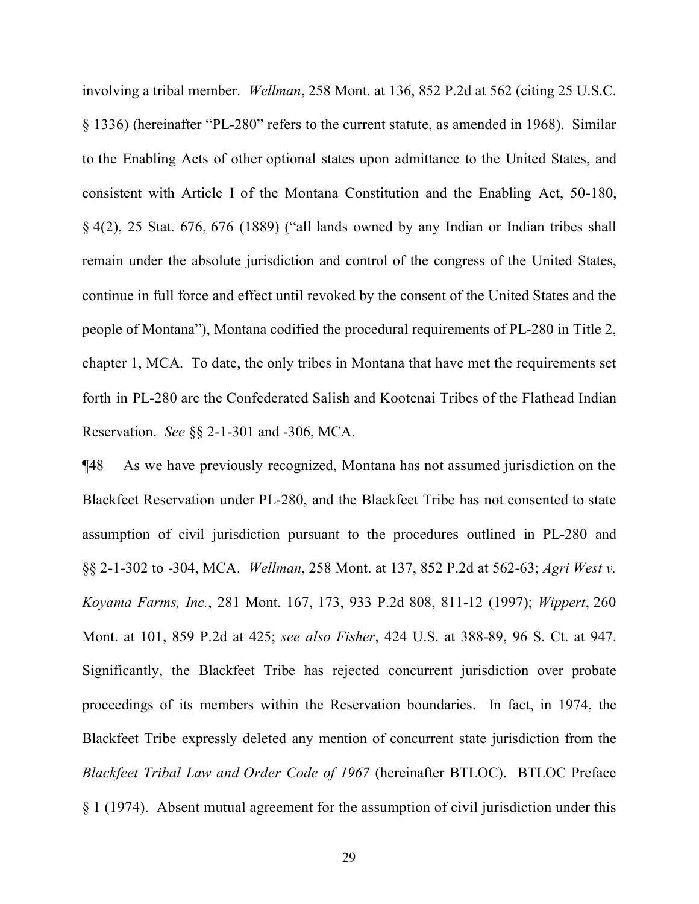involving a tribal member. *Wellman*, 258 Mont. at 136, 852 P.2d at 562 (citing 25 U.S.C. § 1336) (hereinafter "PL-280" refers to the current statute, as amended in 1968). Similar to the Enabling Acts of other optional states upon admittance to the United States, and consistent with Article I of the Montana Constitution and the Enabling Act, 50-180, § 4(2), 25 Stat. 676, 676 (1889) ("all lands owned by any Indian or Indian tribes shall remain under the absolute jurisdiction and control of the congress of the United States, continue in full force and effect until revoked by the consent of the United States and the people of Montana"), Montana codified the procedural requirements of PL-280 in Title 2, chapter 1, MCA. To date, the only tribes in Montana that have met the requirements set forth in PL-280 are the Confederated Salish and Kootenai Tribes of the Flathead Indian Reservation. *See* §§ 2-1-301 and -306, MCA.

¶48 As we have previously recognized, Montana has not assumed jurisdiction on the Blackfeet Reservation under PL-280, and the Blackfeet Tribe has not consented to state assumption of civil jurisdiction pursuant to the procedures outlined in PL-280 and §§ 2-1-302 to -304, MCA. *Wellman*, 258 Mont. at 137, 852 P.2d at 562-63; *Agri West v. Koyama Farms, Inc.*, 281 Mont. 167, 173, 933 P.2d 808, 811-12 (1997); *Wippert*, 260 Mont. at 101, 859 P.2d at 425; *see also Fisher*, 424 U.S. at 388-89, 96 S. Ct. at 947. Significantly, the Blackfeet Tribe has rejected concurrent jurisdiction over probate proceedings of its members within the Reservation boundaries. In fact, in 1974, the Blackfeet Tribe expressly deleted any mention of concurrent state jurisdiction from the *Blackfeet Tribal Law and Order Code of 1967* (hereinafter BTLOC). BTLOC Preface § 1 (1974). Absent mutual agreement for the assumption of civil jurisdiction under this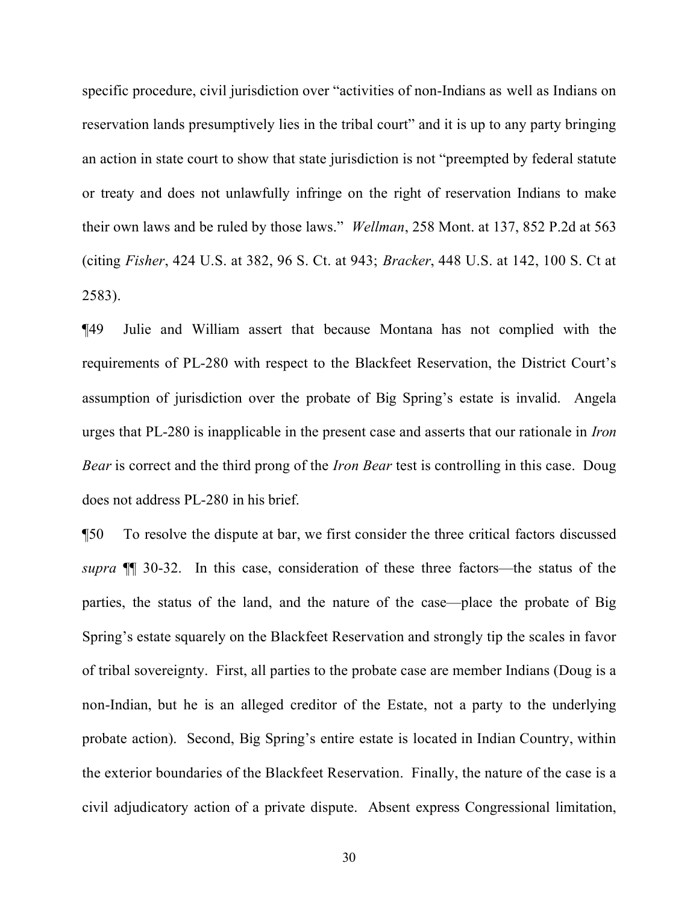specific procedure, civil jurisdiction over "activities of non-Indians as well as Indians on reservation lands presumptively lies in the tribal court" and it is up to any party bringing an action in state court to show that state jurisdiction is not "preempted by federal statute or treaty and does not unlawfully infringe on the right of reservation Indians to make their own laws and be ruled by those laws." *Wellman*, 258 Mont. at 137, 852 P.2d at 563 (citing *Fisher*, 424 U.S. at 382, 96 S. Ct. at 943; *Bracker*, 448 U.S. at 142, 100 S. Ct at 2583).

¶49 Julie and William assert that because Montana has not complied with the requirements of PL-280 with respect to the Blackfeet Reservation, the District Court's assumption of jurisdiction over the probate of Big Spring's estate is invalid. Angela urges that PL-280 is inapplicable in the present case and asserts that our rationale in *Iron Bear* is correct and the third prong of the *Iron Bear* test is controlling in this case. Doug does not address PL-280 in his brief.

¶50 To resolve the dispute at bar, we first consider the three critical factors discussed *supra* ¶¶ 30-32. In this case, consideration of these three factors—the status of the parties, the status of the land, and the nature of the case—place the probate of Big Spring's estate squarely on the Blackfeet Reservation and strongly tip the scales in favor of tribal sovereignty. First, all parties to the probate case are member Indians (Doug is a non-Indian, but he is an alleged creditor of the Estate, not a party to the underlying probate action). Second, Big Spring's entire estate is located in Indian Country, within the exterior boundaries of the Blackfeet Reservation. Finally, the nature of the case is a civil adjudicatory action of a private dispute. Absent express Congressional limitation,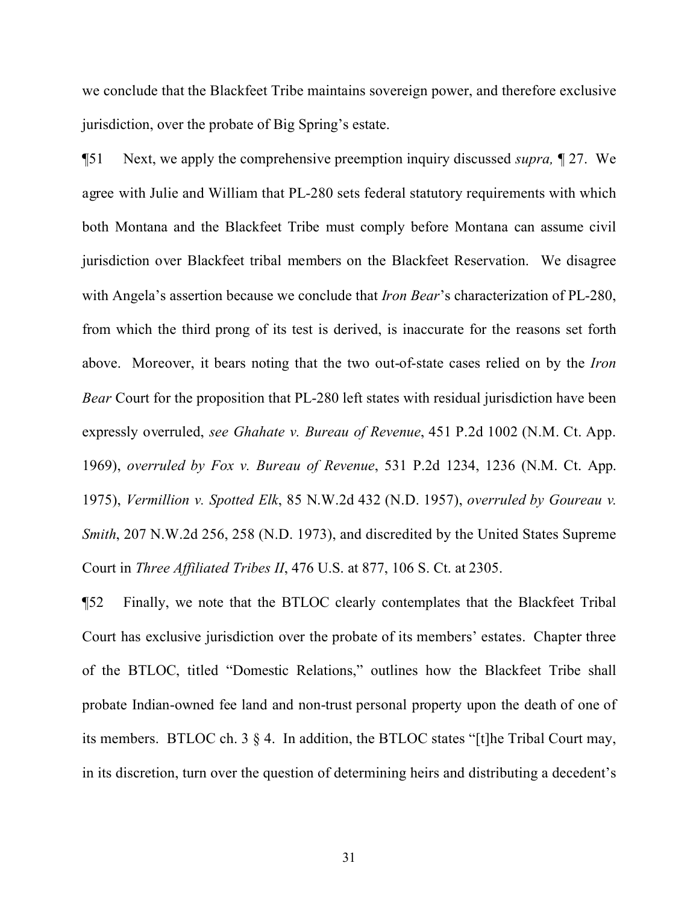we conclude that the Blackfeet Tribe maintains sovereign power, and therefore exclusive jurisdiction, over the probate of Big Spring's estate.

¶51 Next, we apply the comprehensive preemption inquiry discussed *supra,* ¶ 27. We agree with Julie and William that PL-280 sets federal statutory requirements with which both Montana and the Blackfeet Tribe must comply before Montana can assume civil jurisdiction over Blackfeet tribal members on the Blackfeet Reservation. We disagree with Angela's assertion because we conclude that *Iron Bear*'s characterization of PL-280, from which the third prong of its test is derived, is inaccurate for the reasons set forth above. Moreover, it bears noting that the two out-of-state cases relied on by the *Iron Bear* Court for the proposition that PL-280 left states with residual jurisdiction have been expressly overruled, *see Ghahate v. Bureau of Revenue*, 451 P.2d 1002 (N.M. Ct. App. 1969), *overruled by Fox v. Bureau of Revenue*, 531 P.2d 1234, 1236 (N.M. Ct. App. 1975), *Vermillion v. Spotted Elk*, 85 N.W.2d 432 (N.D. 1957), *overruled by Goureau v. Smith*, 207 N.W.2d 256, 258 (N.D. 1973), and discredited by the United States Supreme Court in *Three Affiliated Tribes II*, 476 U.S. at 877, 106 S. Ct. at 2305.

¶52 Finally, we note that the BTLOC clearly contemplates that the Blackfeet Tribal Court has exclusive jurisdiction over the probate of its members' estates. Chapter three of the BTLOC, titled "Domestic Relations," outlines how the Blackfeet Tribe shall probate Indian-owned fee land and non-trust personal property upon the death of one of its members. BTLOC ch. 3 § 4. In addition, the BTLOC states "[t]he Tribal Court may, in its discretion, turn over the question of determining heirs and distributing a decedent's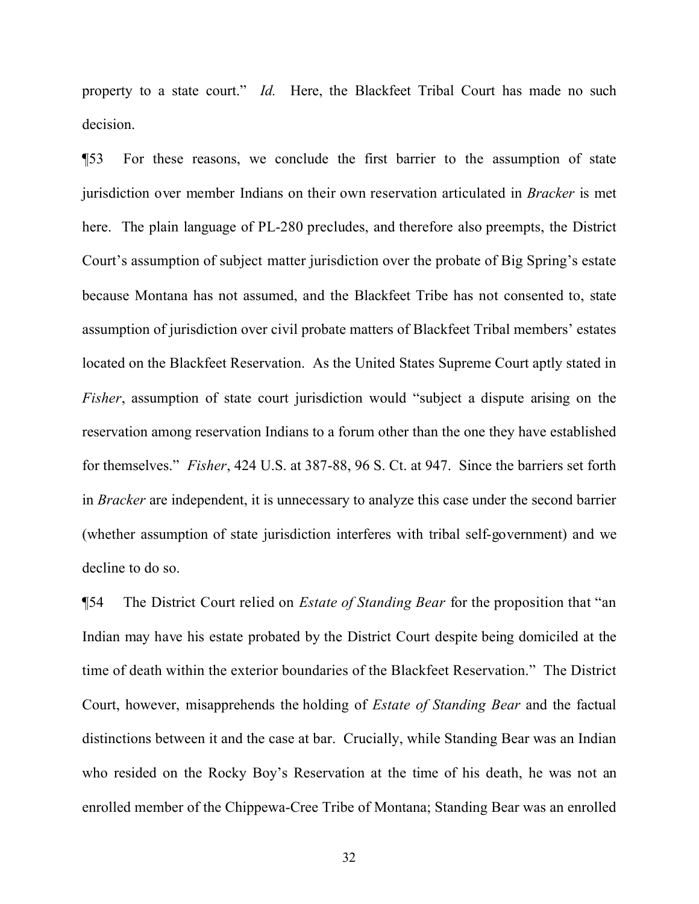property to a state court." *Id.* Here, the Blackfeet Tribal Court has made no such decision.

¶53 For these reasons, we conclude the first barrier to the assumption of state jurisdiction over member Indians on their own reservation articulated in *Bracker* is met here. The plain language of PL-280 precludes, and therefore also preempts, the District Court's assumption of subject matter jurisdiction over the probate of Big Spring's estate because Montana has not assumed, and the Blackfeet Tribe has not consented to, state assumption of jurisdiction over civil probate matters of Blackfeet Tribal members' estates located on the Blackfeet Reservation. As the United States Supreme Court aptly stated in *Fisher*, assumption of state court jurisdiction would "subject a dispute arising on the reservation among reservation Indians to a forum other than the one they have established for themselves." *Fisher*, 424 U.S. at 387-88, 96 S. Ct. at 947. Since the barriers set forth in *Bracker* are independent, it is unnecessary to analyze this case under the second barrier (whether assumption of state jurisdiction interferes with tribal self-government) and we decline to do so.

¶54 The District Court relied on *Estate of Standing Bear* for the proposition that "an Indian may have his estate probated by the District Court despite being domiciled at the time of death within the exterior boundaries of the Blackfeet Reservation." The District Court, however, misapprehends the holding of *Estate of Standing Bear* and the factual distinctions between it and the case at bar. Crucially, while Standing Bear was an Indian who resided on the Rocky Boy's Reservation at the time of his death, he was not an enrolled member of the Chippewa-Cree Tribe of Montana; Standing Bear was an enrolled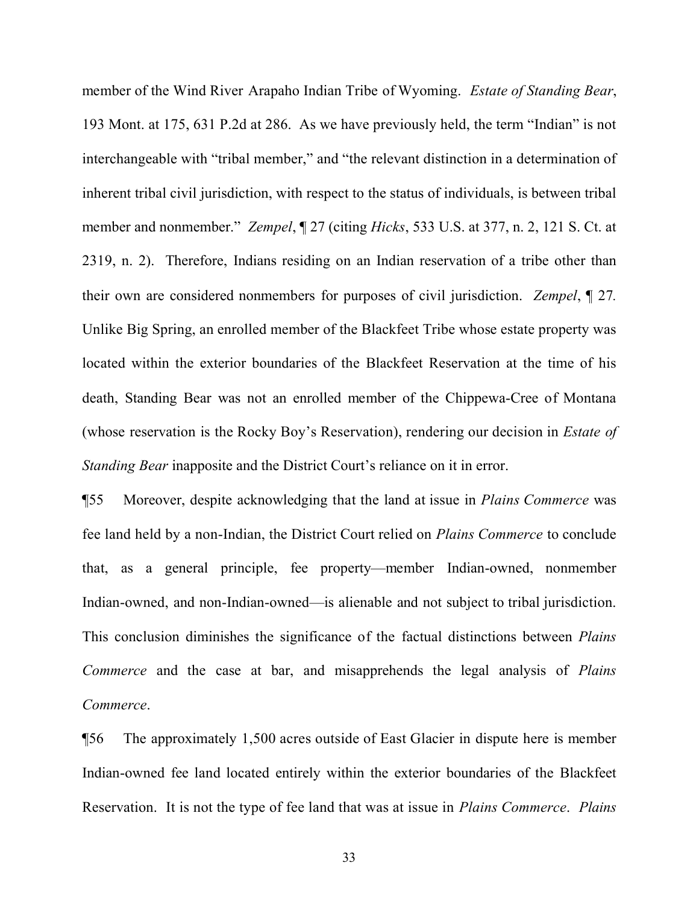member of the Wind River Arapaho Indian Tribe of Wyoming. *Estate of Standing Bear*, 193 Mont. at 175, 631 P.2d at 286. As we have previously held, the term "Indian" is not interchangeable with "tribal member," and "the relevant distinction in a determination of inherent tribal civil jurisdiction, with respect to the status of individuals, is between tribal member and nonmember." *Zempel*, ¶ 27 (citing *Hicks*, 533 U.S. at 377, n. 2, 121 S. Ct. at 2319, n. 2). Therefore, Indians residing on an Indian reservation of a tribe other than their own are considered nonmembers for purposes of civil jurisdiction. *Zempel*, ¶ 27*.* Unlike Big Spring, an enrolled member of the Blackfeet Tribe whose estate property was located within the exterior boundaries of the Blackfeet Reservation at the time of his death, Standing Bear was not an enrolled member of the Chippewa-Cree of Montana (whose reservation is the Rocky Boy's Reservation), rendering our decision in *Estate of Standing Bear inapposite and the District Court's reliance on it in error.* 

¶55 Moreover, despite acknowledging that the land at issue in *Plains Commerce* was fee land held by a non-Indian, the District Court relied on *Plains Commerce* to conclude that, as a general principle, fee property—member Indian-owned, nonmember Indian-owned, and non-Indian-owned—is alienable and not subject to tribal jurisdiction. This conclusion diminishes the significance of the factual distinctions between *Plains Commerce* and the case at bar, and misapprehends the legal analysis of *Plains Commerce*.

¶56 The approximately 1,500 acres outside of East Glacier in dispute here is member Indian-owned fee land located entirely within the exterior boundaries of the Blackfeet Reservation. It is not the type of fee land that was at issue in *Plains Commerce*. *Plains* 

33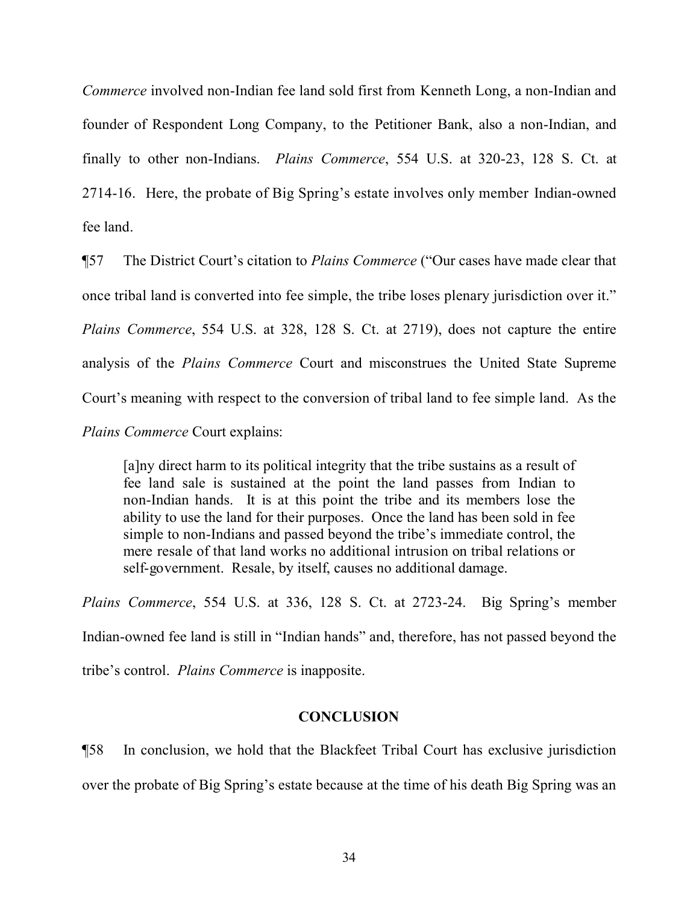*Commerce* involved non-Indian fee land sold first from Kenneth Long, a non-Indian and founder of Respondent Long Company, to the Petitioner Bank, also a non-Indian, and finally to other non-Indians. *Plains Commerce*, 554 U.S. at 320-23, 128 S. Ct. at 2714-16. Here, the probate of Big Spring's estate involves only member Indian-owned fee land.

¶57 The District Court's citation to *Plains Commerce* ("Our cases have made clear that once tribal land is converted into fee simple, the tribe loses plenary jurisdiction over it." *Plains Commerce*, 554 U.S. at 328, 128 S. Ct. at 2719), does not capture the entire analysis of the *Plains Commerce* Court and misconstrues the United State Supreme Court's meaning with respect to the conversion of tribal land to fee simple land. As the *Plains Commerce* Court explains:

[a]ny direct harm to its political integrity that the tribe sustains as a result of fee land sale is sustained at the point the land passes from Indian to non-Indian hands. It is at this point the tribe and its members lose the ability to use the land for their purposes. Once the land has been sold in fee simple to non-Indians and passed beyond the tribe's immediate control, the mere resale of that land works no additional intrusion on tribal relations or self-government. Resale, by itself, causes no additional damage.

*Plains Commerce*, 554 U.S. at 336, 128 S. Ct. at 2723-24. Big Spring's member Indian-owned fee land is still in "Indian hands" and, therefore, has not passed beyond the tribe's control. *Plains Commerce* is inapposite.

# **CONCLUSION**

¶58 In conclusion, we hold that the Blackfeet Tribal Court has exclusive jurisdiction over the probate of Big Spring's estate because at the time of his death Big Spring was an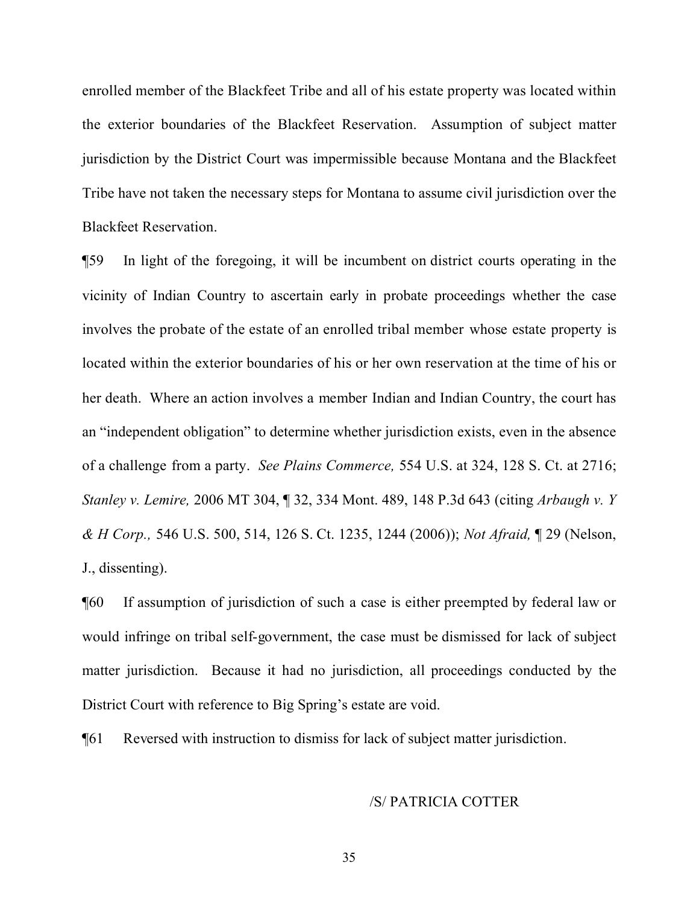enrolled member of the Blackfeet Tribe and all of his estate property was located within the exterior boundaries of the Blackfeet Reservation. Assumption of subject matter jurisdiction by the District Court was impermissible because Montana and the Blackfeet Tribe have not taken the necessary steps for Montana to assume civil jurisdiction over the Blackfeet Reservation.

¶59 In light of the foregoing, it will be incumbent on district courts operating in the vicinity of Indian Country to ascertain early in probate proceedings whether the case involves the probate of the estate of an enrolled tribal member whose estate property is located within the exterior boundaries of his or her own reservation at the time of his or her death. Where an action involves a member Indian and Indian Country, the court has an "independent obligation" to determine whether jurisdiction exists, even in the absence of a challenge from a party. *See Plains Commerce,* 554 U.S. at 324, 128 S. Ct. at 2716; *Stanley v. Lemire,* 2006 MT 304, ¶ 32, 334 Mont. 489, 148 P.3d 643 (citing *Arbaugh v. Y & H Corp.,* 546 U.S. 500, 514, 126 S. Ct. 1235, 1244 (2006)); *Not Afraid,* ¶ 29 (Nelson, J., dissenting).

¶60 If assumption of jurisdiction of such a case is either preempted by federal law or would infringe on tribal self-government, the case must be dismissed for lack of subject matter jurisdiction. Because it had no jurisdiction, all proceedings conducted by the District Court with reference to Big Spring's estate are void.

¶61 Reversed with instruction to dismiss for lack of subject matter jurisdiction.

# /S/ PATRICIA COTTER